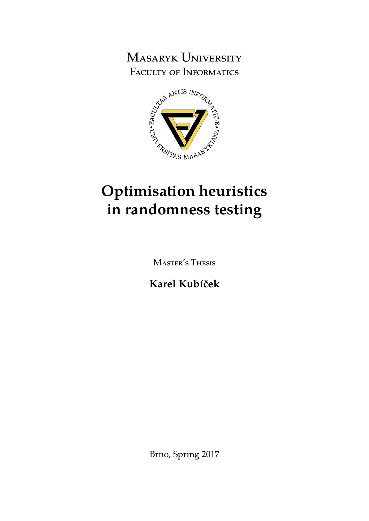Masaryk University Faculty of Informatics



# **Optimisation heuristics in randomness testing**

Master's Thesis

**Karel Kubíček**

Brno, Spring 2017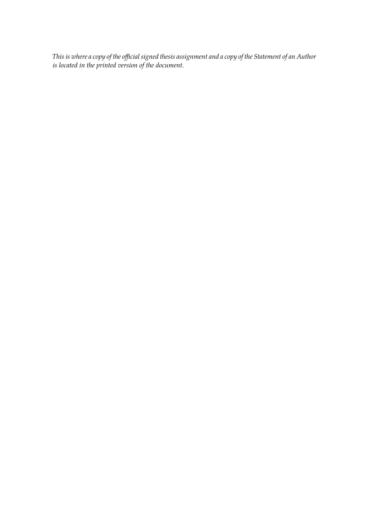*This is where a copy of the official signed thesis assignment and a copy of the Statement of an Author is located in the printed version of the document.*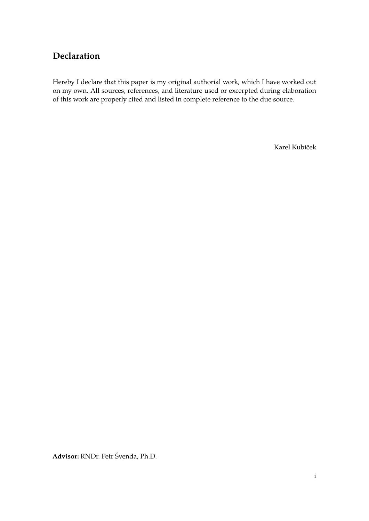# **Declaration**

Hereby I declare that this paper is my original authorial work, which I have worked out on my own. All sources, references, and literature used or excerpted during elaboration of this work are properly cited and listed in complete reference to the due source.

Karel Kubíček

**Advisor:** RNDr. Petr Švenda, Ph.D.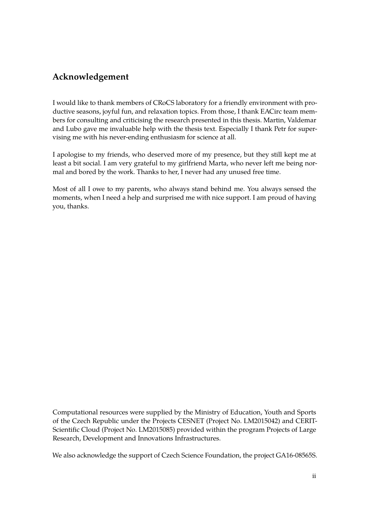# **Acknowledgement**

I would like to thank members of CRoCS laboratory for a friendly environment with productive seasons, joyful fun, and relaxation topics. From those, I thank EACirc team members for consulting and criticising the research presented in this thesis. Martin, Valdemar and Lubo gave me invaluable help with the thesis text. Especially I thank Petr for supervising me with his never-ending enthusiasm for science at all.

I apologise to my friends, who deserved more of my presence, but they still kept me at least a bit social. I am very grateful to my girlfriend Marta, who never left me being normal and bored by the work. Thanks to her, I never had any unused free time.

Most of all I owe to my parents, who always stand behind me. You always sensed the moments, when I need a help and surprised me with nice support. I am proud of having you, thanks.

Computational resources were supplied by the Ministry of Education, Youth and Sports of the Czech Republic under the Projects CESNET (Project No. LM2015042) and CERIT-Scientific Cloud (Project No. LM2015085) provided within the program Projects of Large Research, Development and Innovations Infrastructures.

We also acknowledge the support of Czech Science Foundation, the project GA16-08565S.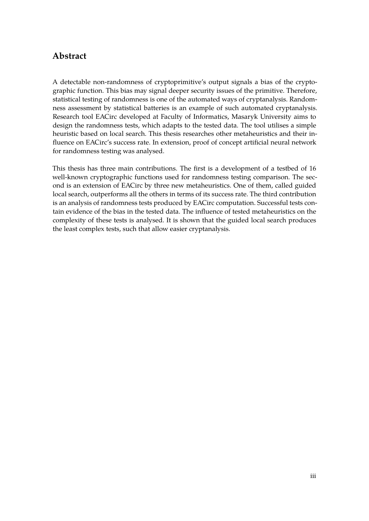# **Abstract**

A detectable non-randomness of cryptoprimitive's output signals a bias of the cryptographic function. This bias may signal deeper security issues of the primitive. Therefore, statistical testing of randomness is one of the automated ways of cryptanalysis. Randomness assessment by statistical batteries is an example of such automated cryptanalysis. Research tool EACirc developed at Faculty of Informatics, Masaryk University aims to design the randomness tests, which adapts to the tested data. The tool utilises a simple heuristic based on local search. This thesis researches other metaheuristics and their influence on EACirc's success rate. In extension, proof of concept artificial neural network for randomness testing was analysed.

This thesis has three main contributions. The first is a development of a testbed of 16 well-known cryptographic functions used for randomness testing comparison. The second is an extension of EACirc by three new metaheuristics. One of them, called guided local search, outperforms all the others in terms of its success rate. The third contribution is an analysis of randomness tests produced by EACirc computation. Successful tests contain evidence of the bias in the tested data. The influence of tested metaheuristics on the complexity of these tests is analysed. It is shown that the guided local search produces the least complex tests, such that allow easier cryptanalysis.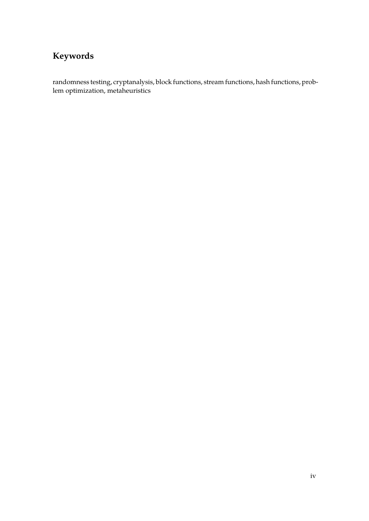# **Keywords**

randomness testing, cryptanalysis, block functions, stream functions, hash functions, problem optimization, metaheuristics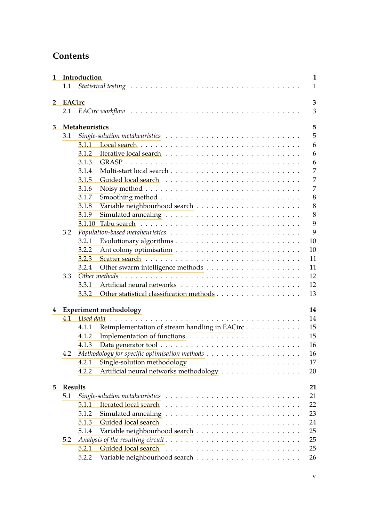# **Contents**

| $\mathbf{1}$ |                | Introduction   |                                                                                                       | $\mathbf{1}$ |
|--------------|----------------|----------------|-------------------------------------------------------------------------------------------------------|--------------|
|              | 1.1            |                |                                                                                                       | $\mathbf{1}$ |
|              |                |                |                                                                                                       |              |
| 2            | <b>EACirc</b>  |                |                                                                                                       | 3            |
|              |                |                |                                                                                                       | 3            |
| 3            |                | Metaheuristics |                                                                                                       | 5            |
|              | 3.1            |                |                                                                                                       | 5            |
|              |                | 3.1.1          |                                                                                                       | 6            |
|              |                | 3.1.2          |                                                                                                       | 6            |
|              |                | 3.1.3          |                                                                                                       | 6            |
|              |                | 3.1.4          |                                                                                                       | 7            |
|              |                | 3.1.5          |                                                                                                       | 7            |
|              |                | 3.1.6          |                                                                                                       | 7            |
|              |                | 3.1.7          |                                                                                                       | 8            |
|              |                | 3.1.8          |                                                                                                       | 8            |
|              |                | 3.1.9          |                                                                                                       | 8            |
|              |                | 3.1.10         |                                                                                                       | 9            |
|              | 3.2            |                |                                                                                                       | 9            |
|              |                | 3.2.1          |                                                                                                       | 10           |
|              |                | 3.2.2          |                                                                                                       | 10           |
|              |                | 3.2.3          |                                                                                                       | 11           |
|              |                | 3.2.4          |                                                                                                       | 11           |
|              | 3.3            |                |                                                                                                       | 12           |
|              |                | 3.3.1          |                                                                                                       | 12           |
|              |                | 3.3.2          |                                                                                                       | 13           |
|              |                |                |                                                                                                       |              |
| 4            |                |                | <b>Experiment methodology</b>                                                                         | 14           |
|              | 4.1            |                |                                                                                                       | 14           |
|              |                | 4.1.1          | Reimplementation of stream handling in EACirc                                                         | 15           |
|              |                | 4.1.2          |                                                                                                       | 15           |
|              |                | 4.1.3          |                                                                                                       | 16           |
|              | 4.2            |                |                                                                                                       | 16           |
|              |                | 4.2.1          |                                                                                                       | 17           |
|              |                | 4.2.2          | Artificial neural networks methodology                                                                | 20           |
|              |                |                |                                                                                                       |              |
| 5            | <b>Results</b> |                |                                                                                                       | 21           |
|              | 5.1            |                |                                                                                                       | 21           |
|              |                | 5.1.1          |                                                                                                       | 22           |
|              |                | 5.1.2          |                                                                                                       | 23           |
|              |                | 5.1.3          |                                                                                                       | 24           |
|              |                | 5.1.4          |                                                                                                       | 25           |
|              | 5.2            |                | Analysis of the resulting circuit $\dots \dots \dots \dots \dots \dots \dots \dots \dots \dots \dots$ | 25           |
|              |                | 5.2.1          |                                                                                                       | 25           |
|              |                | 5.2.2          |                                                                                                       | 26           |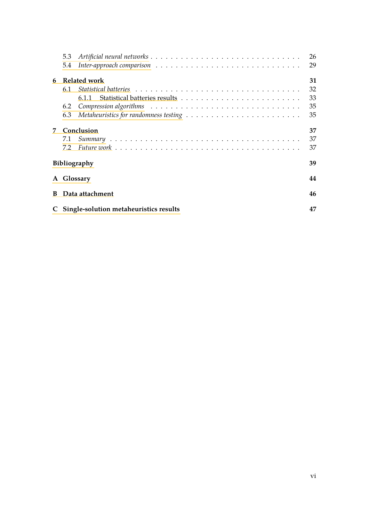|   | 5.3 |                                                                                                 | 26 |
|---|-----|-------------------------------------------------------------------------------------------------|----|
|   | 5.4 |                                                                                                 | 29 |
| 6 |     | <b>Related work</b>                                                                             | 31 |
|   | 6.1 |                                                                                                 | 32 |
|   |     | 6.1.1                                                                                           | 33 |
|   | 6.2 |                                                                                                 | 35 |
|   | 6.3 | Metaheuristics for randomness testing $\ldots \ldots \ldots \ldots \ldots \ldots \ldots \ldots$ | 35 |
| 7 |     | Conclusion                                                                                      | 37 |
|   | 7.1 |                                                                                                 | 37 |
|   | 7.2 |                                                                                                 | 37 |
|   |     | <b>Bibliography</b>                                                                             | 39 |
|   |     | A Glossary                                                                                      | 44 |
| в |     | Data attachment                                                                                 | 46 |
|   |     | Single-solution metaheuristics results                                                          | 47 |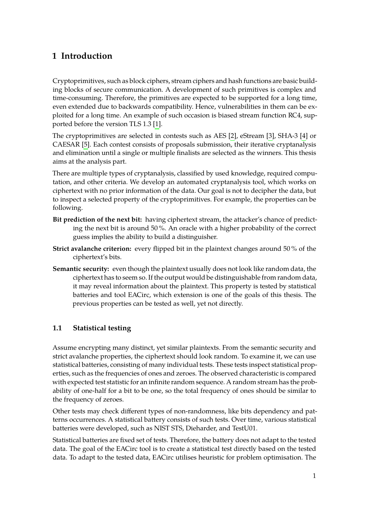# <span id="page-8-0"></span>**1 Introduction**

Cryptoprimitives, such as block ciphers, stream ciphers and hash functions are basic building blocks of secure communication. A development of such primitives is complex and time-consuming. Therefore, the primitives are expected to be supported for a long time, even extended due to backwards compatibility. Hence, vulnerabilities in them can be exploited for a long time. An example of such occasion is biased stream function RC4, supported before the version TLS 1.3 [\[1\]](#page-46-1).

The cryptoprimitives are selected in contests such as AES [\[2\]](#page-46-2), eStream [\[3\]](#page-46-3), SHA-3 [\[4\]](#page-46-4) or CAESAR [\[5\]](#page-46-5). Each contest consists of proposals submission, their iterative cryptanalysis and elimination until a single or multiple finalists are selected as the winners. This thesis aims at the analysis part.

There are multiple types of cryptanalysis, classified by used knowledge, required computation, and other criteria. We develop an automated cryptanalysis tool, which works on ciphertext with no prior information of the data. Our goal is not to decipher the data, but to inspect a selected property of the cryptoprimitives. For example, the properties can be following.

- **Bit prediction of the next bit:** having ciphertext stream, the attacker's chance of predicting the next bit is around 50 %. An oracle with a higher probability of the correct guess implies the ability to build a distinguisher.
- **Strict avalanche criterion:** every flipped bit in the plaintext changes around 50 % of the ciphertext's bits.
- **Semantic security:** even though the plaintext usually does not look like random data, the ciphertext has to seem so. If the output would be distinguishable from random data, it may reveal information about the plaintext. This property is tested by statistical batteries and tool EACirc, which extension is one of the goals of this thesis. The previous properties can be tested as well, yet not directly.

## <span id="page-8-1"></span>**1.1 Statistical testing**

Assume encrypting many distinct, yet similar plaintexts. From the semantic security and strict avalanche properties, the ciphertext should look random. To examine it, we can use statistical batteries, consisting of many individual tests. These tests inspect statistical properties, such as the frequencies of ones and zeroes. The observed characteristic is compared with expected test statistic for an infinite random sequence. A random stream has the probability of one-half for a bit to be one, so the total frequency of ones should be similar to the frequency of zeroes.

Other tests may check different types of non-randomness, like bits dependency and patterns occurrences. A statistical battery consists of such tests. Over time, various statistical batteries were developed, such as NIST STS, Dieharder, and TestU01.

Statistical batteries are fixed set of tests. Therefore, the battery does not adapt to the tested data. The goal of the EACirc tool is to create a statistical test directly based on the tested data. To adapt to the tested data, EACirc utilises heuristic for problem optimisation. The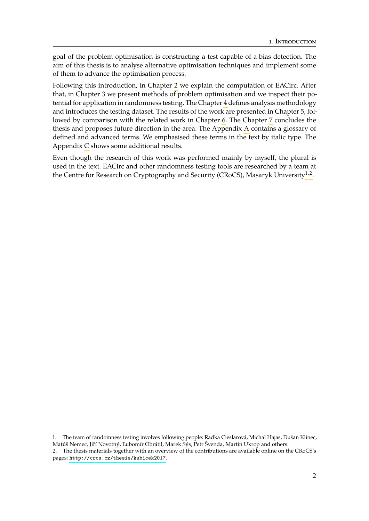goal of the problem optimisation is constructing a test capable of a bias detection. The aim of this thesis is to analyse alternative optimisation techniques and implement some of them to advance the optimisation process.

Following this introduction, in Chapter [2](#page-10-0) we explain the computation of EACirc. After that, in Chapter [3](#page-12-0) we present methods of problem optimisation and we inspect their potential for application in randomness testing. The Chapter [4](#page-21-0) defines analysis methodology and introduces the testing dataset. The results of the work are presented in Chapter [5,](#page-28-0) followed by comparison with the related work in Chapter [6.](#page-38-0) The Chapter [7](#page-44-0) concludes the thesis and proposes future direction in the area. The Appendix [A](#page-51-0) contains a glossary of defined and advanced terms. We emphasised these terms in the text by italic type. The Appendix [C](#page-54-0) shows some additional results.

Even though the research of this work was performed mainly by myself, the plural is used in the text. EACirc and other randomness testing tools are researched by a team at the Centre for Research on Cryptography and Security (CRoCS), Masaryk University<sup>[1](#page-9-0),[2](#page-9-1)</sup>.

<span id="page-9-0"></span><sup>1.</sup> The team of randomness testing involves following people: Radka Cieslarová, Michal Hajas, Dušan Klinec, Matúš Nemec, Jiří Novotný, Ľubomír Obrátil, Marek Sýs, Petr Švenda, Martin Ukrop and others.

<span id="page-9-1"></span><sup>2.</sup> The thesis materials together with an overview of the contributions are available online on the CRoCS's pages: <http://crcs.cz/thesis/kubicek2017>.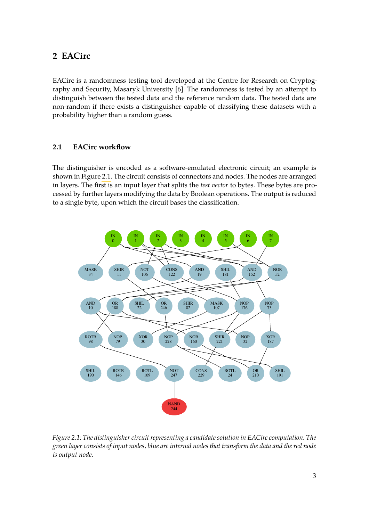# <span id="page-10-0"></span>**2 EACirc**

EACirc is a randomness testing tool developed at the Centre for Research on Cryptography and Security, Masaryk University [\[6\]](#page-46-6). The randomness is tested by an attempt to distinguish between the tested data and the reference random data. The tested data are non-random if there exists a distinguisher capable of classifying these datasets with a probability higher than a random guess.

#### <span id="page-10-1"></span>**2.1 EACirc workflow**

The distinguisher is encoded as a software-emulated electronic circuit; an example is shown in Figure [2.1.](#page-10-2) The circuit consists of connectors and nodes. The nodes are arranged in layers. The first is an input layer that splits the *test vector* to bytes. These bytes are processed by further layers modifying the data by Boolean operations. The output is reduced to a single byte, upon which the circuit bases the classification.

<span id="page-10-2"></span>

*Figure 2.1: The distinguisher circuit representing a candidate solution in EACirc computation. The green layer consists of input nodes, blue are internal nodes that transform the data and the red node is output node.*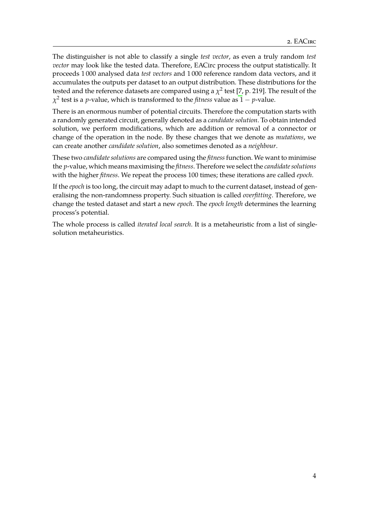The distinguisher is not able to classify a single *test vector*, as even a truly random *test vector* may look like the tested data. Therefore, EACirc process the output statistically. It proceeds 1 000 analysed data *test vectors* and 1 000 reference random data vectors, and it accumulates the outputs per dataset to an output distribution. These distributions for the tested and the reference datasets are compared using a  $\chi^2$  test [\[7,](#page-46-7) p. 219]. The result of the *χ* 2 test is a *p*-value, which is transformed to the *fitness* value as 1 − *p*-value.

There is an enormous number of potential circuits. Therefore the computation starts with a randomly generated circuit, generally denoted as a *candidate solution*. To obtain intended solution, we perform modifications, which are addition or removal of a connector or change of the operation in the node. By these changes that we denote as *mutations*, we can create another *candidate solution*, also sometimes denoted as a *neighbour*.

These two *candidate solutions* are compared using the *fitness*function. We want to minimise the *p*-value, which means maximising the *fitness*. Therefore we select the *candidate solutions* with the higher *fitness*. We repeat the process 100 times; these iterations are called *epoch*.

If the *epoch* is too long, the circuit may adapt to much to the current dataset, instead of generalising the non-randomness property. Such situation is called *overfitting*. Therefore, we change the tested dataset and start a new *epoch*. The *epoch length* determines the learning process's potential.

The whole process is called *iterated local search*. It is a metaheuristic from a list of singlesolution metaheuristics.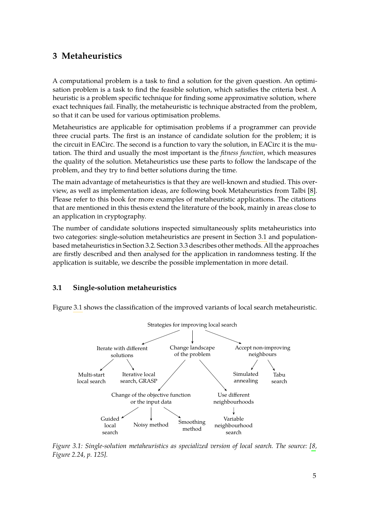# <span id="page-12-0"></span>**3 Metaheuristics**

A computational problem is a task to find a solution for the given question. An optimisation problem is a task to find the feasible solution, which satisfies the criteria best. A heuristic is a problem specific technique for finding some approximative solution, where exact techniques fail. Finally, the metaheuristic is technique abstracted from the problem, so that it can be used for various optimisation problems.

Metaheuristics are applicable for optimisation problems if a programmer can provide three crucial parts. The first is an instance of candidate solution for the problem; it is the circuit in EACirc. The second is a function to vary the solution, in EACirc it is the mutation. The third and usually the most important is the *fitness function*, which measures the quality of the solution. Metaheuristics use these parts to follow the landscape of the problem, and they try to find better solutions during the time.

The main advantage of metaheuristics is that they are well-known and studied. This overview, as well as implementation ideas, are following book Metaheuristics from Talbi [\[8\]](#page-46-8). Please refer to this book for more examples of metaheuristic applications. The citations that are mentioned in this thesis extend the literature of the book, mainly in areas close to an application in cryptography.

The number of candidate solutions inspected simultaneously splits metaheuristics into two categories: single-solution metaheuristics are present in Section [3.1](#page-12-1) and populationbased metaheuristics in Section [3.2.](#page-16-1) Section [3.3](#page-19-0) describes other methods. All the approaches are firstly described and then analysed for the application in randomness testing. If the application is suitable, we describe the possible implementation in more detail.

## <span id="page-12-1"></span>**3.1 Single-solution metaheuristics**

<span id="page-12-2"></span>Figure [3.1](#page-12-2) shows the classification of the improved variants of local search metaheuristic.



*Figure 3.1: Single-solution metaheuristics as specialized version of local search. The source: [\[8,](#page-46-8) Figure 2.24, p. 125].*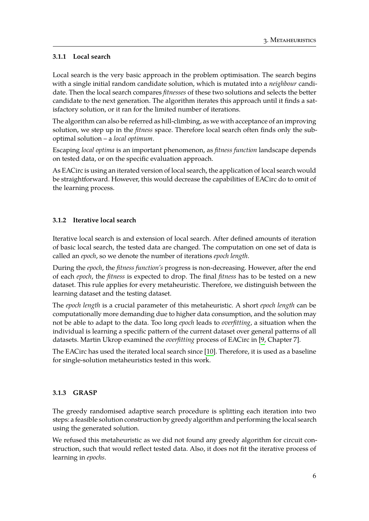#### <span id="page-13-0"></span>**3.1.1 Local search**

Local search is the very basic approach in the problem optimisation. The search begins with a single initial random candidate solution, which is mutated into a *neighbour* candidate. Then the local search compares *fitnesses* of these two solutions and selects the better candidate to the next generation. The algorithm iterates this approach until it finds a satisfactory solution, or it ran for the limited number of iterations.

The algorithm can also be referred as hill-climbing, as we with acceptance of an improving solution, we step up in the *fitness* space. Therefore local search often finds only the suboptimal solution – a *local optimum*.

Escaping *local optima* is an important phenomenon, as *fitness function* landscape depends on tested data, or on the specific evaluation approach.

As EACirc is using an iterated version of local search, the application of local search would be straightforward. However, this would decrease the capabilities of EACirc do to omit of the learning process.

#### <span id="page-13-1"></span>**3.1.2 Iterative local search**

Iterative local search is and extension of local search. After defined amounts of iteration of basic local search, the tested data are changed. The computation on one set of data is called an *epoch*, so we denote the number of iterations *epoch length*.

During the *epoch*, the *fitness function's* progress is non-decreasing. However, after the end of each *epoch*, the *fitness* is expected to drop. The final *fitness* has to be tested on a new dataset. This rule applies for every metaheuristic. Therefore, we distinguish between the learning dataset and the testing dataset.

The *epoch length* is a crucial parameter of this metaheuristic. A short *epoch length* can be computationally more demanding due to higher data consumption, and the solution may not be able to adapt to the data. Too long *epoch* leads to *overfitting*, a situation when the individual is learning a specific pattern of the current dataset over general patterns of all datasets. Martin Ukrop examined the *overfitting* process of EACirc in [\[9,](#page-46-9) Chapter 7].

The EACirc has used the iterated local search since [\[10\]](#page-46-10). Therefore, it is used as a baseline for single-solution metaheuristics tested in this work.

#### <span id="page-13-2"></span>**3.1.3 GRASP**

The greedy randomised adaptive search procedure is splitting each iteration into two steps: a feasible solution construction by greedy algorithm and performing the local search using the generated solution.

We refused this metaheuristic as we did not found any greedy algorithm for circuit construction, such that would reflect tested data. Also, it does not fit the iterative process of learning in *epochs*.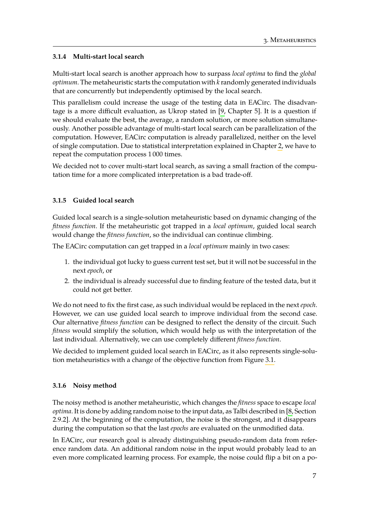#### <span id="page-14-0"></span>**3.1.4 Multi-start local search**

Multi-start local search is another approach how to surpass *local optima* to find the *global optimum*. The metaheuristic starts the computation with *k* randomly generated individuals that are concurrently but independently optimised by the local search.

This parallelism could increase the usage of the testing data in EACirc. The disadvantage is a more difficult evaluation, as Ukrop stated in [\[9,](#page-46-9) Chapter 5]. It is a question if we should evaluate the best, the average, a random solution, or more solution simultaneously. Another possible advantage of multi-start local search can be parallelization of the computation. However, EACirc computation is already parallelized, neither on the level of single computation. Due to statistical interpretation explained in Chapter [2,](#page-10-0) we have to repeat the computation process 1 000 times.

We decided not to cover multi-start local search, as saving a small fraction of the computation time for a more complicated interpretation is a bad trade-off.

#### <span id="page-14-1"></span>**3.1.5 Guided local search**

Guided local search is a single-solution metaheuristic based on dynamic changing of the *fitness function*. If the metaheuristic got trapped in a *local optimum*, guided local search would change the *fitness function*, so the individual can continue climbing.

The EACirc computation can get trapped in a *local optimum* mainly in two cases:

- 1. the individual got lucky to guess current test set, but it will not be successful in the next *epoch*, or
- 2. the individual is already successful due to finding feature of the tested data, but it could not get better.

We do not need to fix the first case, as such individual would be replaced in the next *epoch*. However, we can use guided local search to improve individual from the second case. Our alternative *fitness function* can be designed to reflect the density of the circuit. Such *fitness* would simplify the solution, which would help us with the interpretation of the last individual. Alternatively, we can use completely different *fitness function*.

We decided to implement guided local search in EACirc, as it also represents single-solution metaheuristics with a change of the objective function from Figure [3.1.](#page-12-2)

#### <span id="page-14-2"></span>**3.1.6 Noisy method**

The noisy method is another metaheuristic, which changes the *fitness* space to escape *local optima*. It is done by adding random noise to the input data, as Talbi described in [\[8,](#page-46-8) Section 2.9.2]. At the beginning of the computation, the noise is the strongest, and it disappears during the computation so that the last *epochs* are evaluated on the unmodified data.

In EACirc, our research goal is already distinguishing pseudo-random data from reference random data. An additional random noise in the input would probably lead to an even more complicated learning process. For example, the noise could flip a bit on a po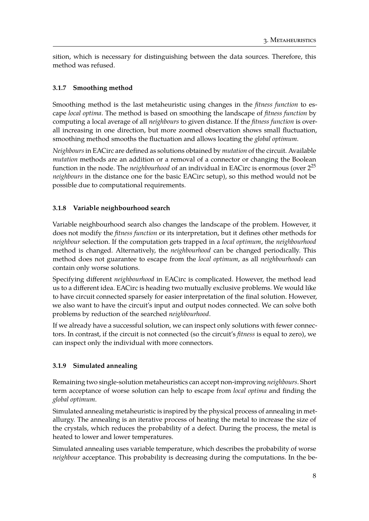sition, which is necessary for distinguishing between the data sources. Therefore, this method was refused.

#### <span id="page-15-0"></span>**3.1.7 Smoothing method**

Smoothing method is the last metaheuristic using changes in the *fitness function* to escape *local optima*. The method is based on smoothing the landscape of *fitness function* by computing a local average of all *neighbours* to given distance. If the *fitness function* is overall increasing in one direction, but more zoomed observation shows small fluctuation, smoothing method smooths the fluctuation and allows locating the *global optimum*.

*Neighbours*in EACirc are defined as solutions obtained by *mutation* of the circuit. Available *mutation* methods are an addition or a removal of a connector or changing the Boolean function in the node. The *neighbourhood* of an individual in EACirc is enormous (over 2 25 *neighbours* in the distance one for the basic EACirc setup), so this method would not be possible due to computational requirements.

#### <span id="page-15-1"></span>**3.1.8 Variable neighbourhood search**

Variable neighbourhood search also changes the landscape of the problem. However, it does not modify the *fitness function* or its interpretation, but it defines other methods for *neighbour* selection. If the computation gets trapped in a *local optimum*, the *neighbourhood* method is changed. Alternatively, the *neighbourhood* can be changed periodically. This method does not guarantee to escape from the *local optimum*, as all *neighbourhoods* can contain only worse solutions.

Specifying different *neighbourhood* in EACirc is complicated. However, the method lead us to a different idea. EACirc is heading two mutually exclusive problems. We would like to have circuit connected sparsely for easier interpretation of the final solution. However, we also want to have the circuit's input and output nodes connected. We can solve both problems by reduction of the searched *neighbourhood*.

If we already have a successful solution, we can inspect only solutions with fewer connectors. In contrast, if the circuit is not connected (so the circuit's *fitness* is equal to zero), we can inspect only the individual with more connectors.

#### <span id="page-15-2"></span>**3.1.9 Simulated annealing**

Remaining two single-solution metaheuristics can accept non-improving *neighbours*. Short term acceptance of worse solution can help to escape from *local optima* and finding the *global optimum*.

Simulated annealing metaheuristic is inspired by the physical process of annealing in metallurgy. The annealing is an iterative process of heating the metal to increase the size of the crystals, which reduces the probability of a defect. During the process, the metal is heated to lower and lower temperatures.

Simulated annealing uses variable temperature, which describes the probability of worse *neighbour* acceptance. This probability is decreasing during the computations. In the be-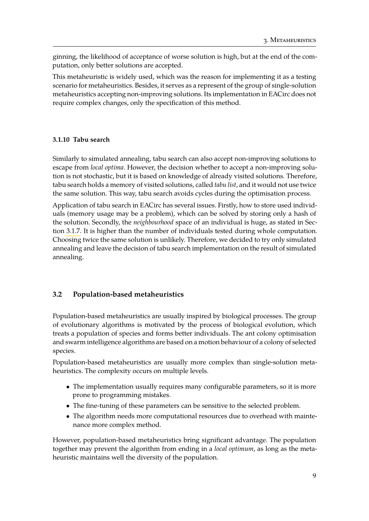ginning, the likelihood of acceptance of worse solution is high, but at the end of the computation, only better solutions are accepted.

This metaheuristic is widely used, which was the reason for implementing it as a testing scenario for metaheuristics. Besides, it serves as a represent of the group of single-solution metaheuristics accepting non-improving solutions. Its implementation in EACirc does not require complex changes, only the specification of this method.

#### <span id="page-16-0"></span>**3.1.10 Tabu search**

Similarly to simulated annealing, tabu search can also accept non-improving solutions to escape from *local optima*. However, the decision whether to accept a non-improving solution is not stochastic, but it is based on knowledge of already visited solutions. Therefore, tabu search holds a memory of visited solutions, called *tabu list*, and it would not use twice the same solution. This way, tabu search avoids cycles during the optimisation process.

Application of tabu search in EACirc has several issues. Firstly, how to store used individuals (memory usage may be a problem), which can be solved by storing only a hash of the solution. Secondly, the *neighbourhood* space of an individual is huge, as stated in Section [3.1.7.](#page-15-0) It is higher than the number of individuals tested during whole computation. Choosing twice the same solution is unlikely. Therefore, we decided to try only simulated annealing and leave the decision of tabu search implementation on the result of simulated annealing.

#### <span id="page-16-1"></span>**3.2 Population-based metaheuristics**

Population-based metaheuristics are usually inspired by biological processes. The group of evolutionary algorithms is motivated by the process of biological evolution, which treats a population of species and forms better individuals. The ant colony optimisation and swarm intelligence algorithms are based on a motion behaviour of a colony of selected species.

Population-based metaheuristics are usually more complex than single-solution metaheuristics. The complexity occurs on multiple levels.

- ∙ The implementation usually requires many configurable parameters, so it is more prone to programming mistakes.
- ∙ The fine-tuning of these parameters can be sensitive to the selected problem.
- ∙ The algorithm needs more computational resources due to overhead with maintenance more complex method.

However, population-based metaheuristics bring significant advantage. The population together may prevent the algorithm from ending in a *local optimum*, as long as the metaheuristic maintains well the diversity of the population.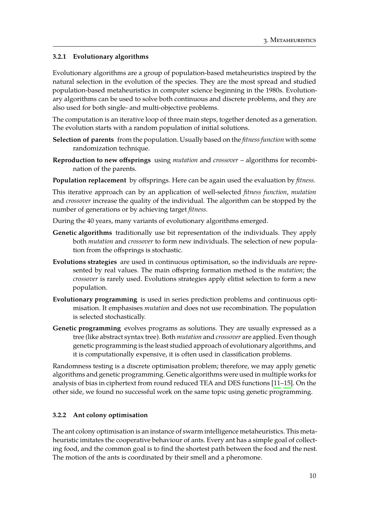#### <span id="page-17-0"></span>**3.2.1 Evolutionary algorithms**

Evolutionary algorithms are a group of population-based metaheuristics inspired by the natural selection in the evolution of the species. They are the most spread and studied population-based metaheuristics in computer science beginning in the 1980s. Evolutionary algorithms can be used to solve both continuous and discrete problems, and they are also used for both single- and multi-objective problems.

The computation is an iterative loop of three main steps, together denoted as a generation. The evolution starts with a random population of initial solutions.

- **Selection of parents** from the population. Usually based on the *fitness function* with some randomization technique.
- **Reproduction to new offsprings** using *mutation* and *crossover* algorithms for recombination of the parents.

**Population replacement** by offsprings. Here can be again used the evaluation by *fitness*.

This iterative approach can by an application of well-selected *fitness function*, *mutation* and *crossover* increase the quality of the individual. The algorithm can be stopped by the number of generations or by achieving target *fitness*.

During the 40 years, many variants of evolutionary algorithms emerged.

- **Genetic algorithms** traditionally use bit representation of the individuals. They apply both *mutation* and *crossover* to form new individuals. The selection of new population from the offsprings is stochastic.
- **Evolutions strategies** are used in continuous optimisation, so the individuals are represented by real values. The main offspring formation method is the *mutation*; the *crossover* is rarely used. Evolutions strategies apply elitist selection to form a new population.
- **Evolutionary programming** is used in series prediction problems and continuous optimisation. It emphasises *mutation* and does not use recombination. The population is selected stochastically.
- **Genetic programming** evolves programs as solutions. They are usually expressed as a tree (like abstract syntax tree). Both *mutation* and *crossover* are applied. Even though genetic programming is the least studied approach of evolutionary algorithms, and it is computationally expensive, it is often used in classification problems.

Randomness testing is a discrete optimisation problem; therefore, we may apply genetic algorithms and genetic programming. Genetic algorithms were used in multiple works for analysis of bias in ciphertext from round reduced TEA and DES functions [\[11–](#page-46-11)[15\]](#page-46-12). On the other side, we found no successful work on the same topic using genetic programming.

#### <span id="page-17-1"></span>**3.2.2 Ant colony optimisation**

The ant colony optimisation is an instance of swarm intelligence metaheuristics. This metaheuristic imitates the cooperative behaviour of ants. Every ant has a simple goal of collecting food, and the common goal is to find the shortest path between the food and the nest. The motion of the ants is coordinated by their smell and a pheromone.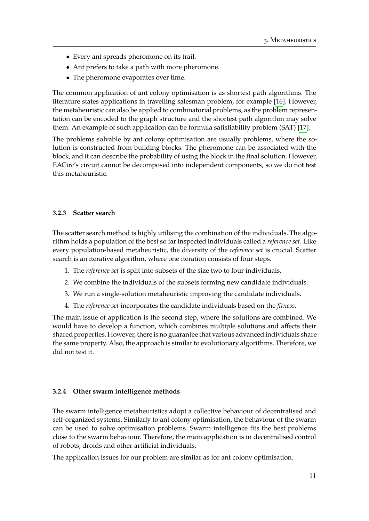- ∙ Every ant spreads pheromone on its trail.
- ∙ Ant prefers to take a path with more pheromone.
- ∙ The pheromone evaporates over time.

The common application of ant colony optimisation is as shortest path algorithms. The literature states applications in travelling salesman problem, for example [\[16\]](#page-46-13). However, the metaheuristic can also be applied to combinatorial problems, as the problem representation can be encoded to the graph structure and the shortest path algorithm may solve them. An example of such application can be formula satisfiability problem (SAT) [\[17\]](#page-47-0).

The problems solvable by ant colony optimisation are usually problems, where the solution is constructed from building blocks. The pheromone can be associated with the block, and it can describe the probability of using the block in the final solution. However, EACirc's circuit cannot be decomposed into independent components, so we do not test this metaheuristic.

#### <span id="page-18-0"></span>**3.2.3 Scatter search**

The scatter search method is highly utilising the combination of the individuals. The algorithm holds a population of the best so far inspected individuals called a *reference set*. Like every population-based metaheuristic, the diversity of the *reference set* is crucial. Scatter search is an iterative algorithm, where one iteration consists of four steps.

- 1. The *reference set* is split into subsets of the size two to four individuals.
- 2. We combine the individuals of the subsets forming new candidate individuals.
- 3. We run a single-solution metaheuristic improving the candidate individuals.
- 4. The *reference set* incorporates the candidate individuals based on the *fitness*.

The main issue of application is the second step, where the solutions are combined. We would have to develop a function, which combines multiple solutions and affects their shared properties. However, there is no guarantee that various advanced individuals share the same property. Also, the approach is similar to evolutionary algorithms. Therefore, we did not test it.

#### <span id="page-18-1"></span>**3.2.4 Other swarm intelligence methods**

The swarm intelligence metaheuristics adopt a collective behaviour of decentralised and self-organized systems. Similarly to ant colony optimisation, the behaviour of the swarm can be used to solve optimisation problems. Swarm intelligence fits the best problems close to the swarm behaviour. Therefore, the main application is in decentralised control of robots, droids and other artificial individuals.

The application issues for our problem are similar as for ant colony optimisation.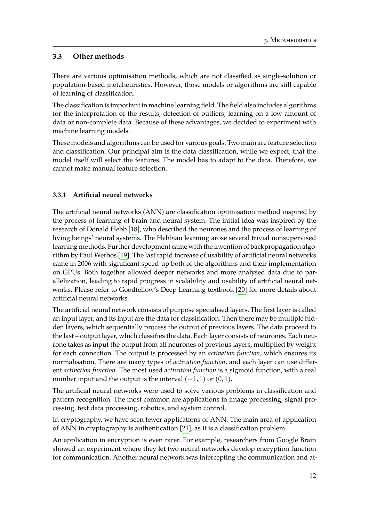#### <span id="page-19-0"></span>**3.3 Other methods**

There are various optimisation methods, which are not classified as single-solution or population-based metaheuristics. However, those models or algorithms are still capable of learning of classification.

The classification is important in machine learning field. The field also includes algorithms for the interpretation of the results, detection of outliers, learning on a low amount of data or non-complete data. Because of these advantages, we decided to experiment with machine learning models.

These models and algorithms can be used for various goals. Two main are feature selection and classification. Our principal aim is the data classification, while we expect, that the model itself will select the features. The model has to adapt to the data. Therefore, we cannot make manual feature selection.

#### <span id="page-19-1"></span>**3.3.1 Artificial neural networks**

The artificial neural networks (ANN) are classification optimisation method inspired by the process of learning of brain and neural system. The initial idea was inspired by the research of Donald Hebb [\[18\]](#page-47-1), who described the neurones and the process of learning of living beings' neural systems. The Hebbian learning arose several trivial nonsupervised learning methods. Further development came with the invention of backpropagation algorithm by Paul Werbos [\[19\]](#page-47-2). The last rapid increase of usability of artificial neural networks came in 2006 with significant speed-up both of the algorithms and their implementation on GPUs. Both together allowed deeper networks and more analysed data due to parallelization, leading to rapid progress in scalability and usability of artificial neural networks. Please refer to Goodfellow's Deep Learning textbook [\[20\]](#page-47-3) for more details about artificial neural networks.

The artificial neural network consists of purpose specialised layers. The first layer is called an input layer, and its input are the data for classification. Then there may be multiple hidden layers, which sequentially process the output of previous layers. The data proceed to the last – output layer, which classifies the data. Each layer consists of neurones. Each neurone takes as input the output from all neurones of previous layers, multiplied by weight for each connection. The output is processed by an *activation function*, which ensures its normalisation. There are many types of *activation function*, and each layer can use different *activation function*. The most used *activation function* is a sigmoid function, with a real number input and the output is the interval  $(-1, 1)$  or  $(0, 1)$ .

The artificial neural networks were used to solve various problems in classification and pattern recognition. The most common are applications in image processing, signal processing, text data processing, robotics, and system control.

In cryptography, we have seen fewer applications of ANN. The main area of application of ANN in cryptography is authentication [\[21\]](#page-47-4), as it is a classification problem.

An application in encryption is even rarer. For example, researchers from Google Brain showed an experiment where they let two neural networks develop encryption function for communication. Another neural network was intercepting the communication and at-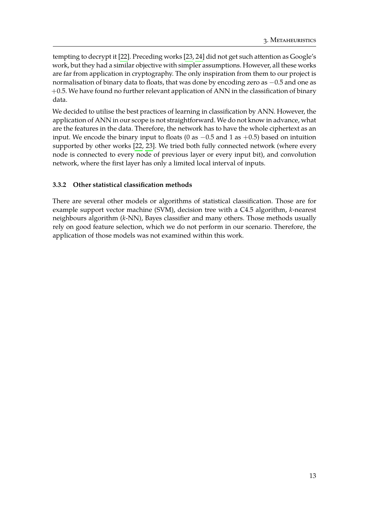tempting to decrypt it [\[22\]](#page-47-5). Preceding works [\[23,](#page-47-6) [24\]](#page-47-7) did not get such attention as Google's work, but they had a similar objective with simpler assumptions. However, all these works are far from application in cryptography. The only inspiration from them to our project is normalisation of binary data to floats, that was done by encoding zero as −0.5 and one as +0.5. We have found no further relevant application of ANN in the classification of binary data.

We decided to utilise the best practices of learning in classification by ANN. However, the application of ANN in our scope is not straightforward. We do not know in advance, what are the features in the data. Therefore, the network has to have the whole ciphertext as an input. We encode the binary input to floats (0 as  $-0.5$  and 1 as  $+0.5$ ) based on intuition supported by other works [\[22,](#page-47-5) [23\]](#page-47-6). We tried both fully connected network (where every node is connected to every node of previous layer or every input bit), and convolution network, where the first layer has only a limited local interval of inputs.

#### <span id="page-20-0"></span>**3.3.2 Other statistical classification methods**

There are several other models or algorithms of statistical classification. Those are for example support vector machine (SVM), decision tree with a C4.5 algorithm, *k*-nearest neighbours algorithm (*k*-NN), Bayes classifier and many others. Those methods usually rely on good feature selection, which we do not perform in our scenario. Therefore, the application of those models was not examined within this work.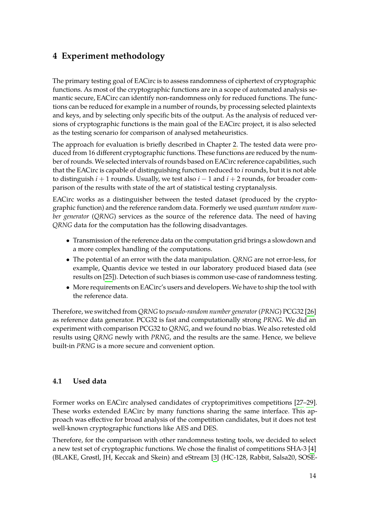# <span id="page-21-0"></span>**4 Experiment methodology**

The primary testing goal of EACirc is to assess randomness of ciphertext of cryptographic functions. As most of the cryptographic functions are in a scope of automated analysis semantic secure, EACirc can identify non-randomness only for reduced functions. The functions can be reduced for example in a number of rounds, by processing selected plaintexts and keys, and by selecting only specific bits of the output. As the analysis of reduced versions of cryptographic functions is the main goal of the EACirc project, it is also selected as the testing scenario for comparison of analysed metaheuristics.

The approach for evaluation is briefly described in Chapter [2.](#page-10-0) The tested data were produced from 16 different cryptographic functions. These functions are reduced by the number of rounds. We selected intervals of rounds based on EACirc reference capabilities, such that the EACirc is capable of distinguishing function reduced to *i* rounds, but it is not able to distinguish *i* + 1 rounds. Usually, we test also *i* − 1 and *i* + 2 rounds, for broader comparison of the results with state of the art of statistical testing cryptanalysis.

EACirc works as a distinguisher between the tested dataset (produced by the cryptographic function) and the reference random data. Formerly we used *quantum random number generator* (*QRNG*) services as the source of the reference data. The need of having *QRNG* data for the computation has the following disadvantages.

- ∙ Transmission of the reference data on the computation grid brings a slowdown and a more complex handling of the computations.
- ∙ The potential of an error with the data manipulation. *QRNG* are not error-less, for example, Quantis device we tested in our laboratory produced biased data (see results on [\[25\]](#page-47-8)). Detection of such biases is common use-case of randomness testing.
- ∙ More requirements on EACirc's users and developers. We have to ship the tool with the reference data.

Therefore, we switched from *QRNG* to *pseudo-random number generator* (*PRNG*) PCG32 [\[26\]](#page-47-9) as reference data generator. PCG32 is fast and computationally strong *PRNG*. We did an experiment with comparison PCG32 to *QRNG*, and we found no bias. We also retested old results using *QRNG* newly with *PRNG*, and the results are the same. Hence, we believe built-in *PRNG* is a more secure and convenient option.

## <span id="page-21-1"></span>**4.1 Used data**

Former works on EACirc analysed candidates of cryptoprimitives competitions [\[27](#page-47-10)[–29\]](#page-47-11). These works extended EACirc by many functions sharing the same interface. This approach was effective for broad analysis of the competition candidates, but it does not test well-known cryptographic functions like AES and DES.

Therefore, for the comparison with other randomness testing tools, we decided to select a new test set of cryptographic functions. We chose the finalist of competitions SHA-3 [\[4\]](#page-46-4) (BLAKE, Grøstl, JH, Keccak and Skein) and eStream [\[3\]](#page-46-3) (HC-128, Rabbit, Salsa20, SOSE-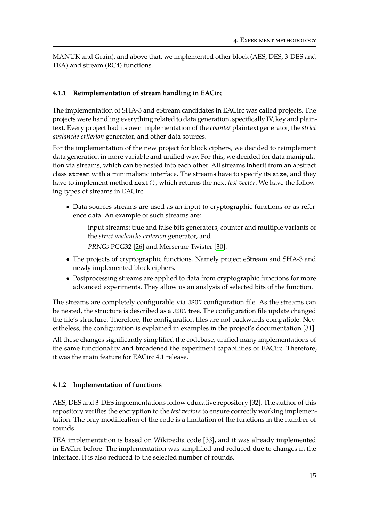MANUK and Grain), and above that, we implemented other block (AES, DES, 3-DES and TEA) and stream (RC4) functions.

#### <span id="page-22-0"></span>**4.1.1 Reimplementation of stream handling in EACirc**

The implementation of SHA-3 and eStream candidates in EACirc was called projects. The projects were handling everything related to data generation, specifically IV, key and plaintext. Every project had its own implementation of the *counter* plaintext generator, the *strict avalanche criterion* generator, and other data sources.

For the implementation of the new project for block ciphers, we decided to reimplement data generation in more variable and unified way. For this, we decided for data manipulation via streams, which can be nested into each other. All streams inherit from an abstract class stream with a minimalistic interface. The streams have to specify its size, and they have to implement method next(), which returns the next *test vector*. We have the following types of streams in EACirc.

- ∙ Data sources streams are used as an input to cryptographic functions or as reference data. An example of such streams are:
	- **–** input streams: true and false bits generators, counter and multiple variants of the *strict avalanche criterion* generator, and
	- **–** *PRNGs* PCG32 [\[26\]](#page-47-9) and Mersenne Twister [\[30\]](#page-47-12).
- ∙ The projects of cryptographic functions. Namely project eStream and SHA-3 and newly implemented block ciphers.
- ∙ Postprocessing streams are applied to data from cryptographic functions for more advanced experiments. They allow us an analysis of selected bits of the function.

The streams are completely configurable via JSON configuration file. As the streams can be nested, the structure is described as a JSON tree. The configuration file update changed the file's structure. Therefore, the configuration files are not backwards compatible. Nevertheless, the configuration is explained in examples in the project's documentation [\[31\]](#page-47-13).

All these changes significantly simplified the codebase, unified many implementations of the same functionality and broadened the experiment capabilities of EACirc. Therefore, it was the main feature for EACirc 4.1 release.

#### <span id="page-22-1"></span>**4.1.2 Implementation of functions**

AES, DES and 3-DES implementations follow educative repository [\[32\]](#page-47-14). The author of this repository verifies the encryption to the *test vectors* to ensure correctly working implementation. The only modification of the code is a limitation of the functions in the number of rounds.

TEA implementation is based on Wikipedia code [\[33\]](#page-47-15), and it was already implemented in EACirc before. The implementation was simplified and reduced due to changes in the interface. It is also reduced to the selected number of rounds.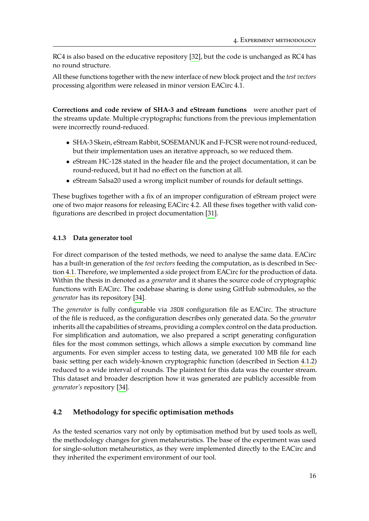RC4 is also based on the educative repository [\[32\]](#page-47-14), but the code is unchanged as RC4 has no round structure.

All these functions together with the new interface of new block project and the *test vectors* processing algorithm were released in minor version EACirc 4.1.

**Corrections and code review of SHA-3 and eStream functions** were another part of the streams update. Multiple cryptographic functions from the previous implementation were incorrectly round-reduced.

- ∙ SHA-3 Skein, eStream Rabbit, SOSEMANUK and F-FCSR were not round-reduced, but their implementation uses an iterative approach, so we reduced them.
- ∙ eStream HC-128 stated in the header file and the project documentation, it can be round-reduced, but it had no effect on the function at all.
- ∙ eStream Salsa20 used a wrong implicit number of rounds for default settings.

These bugfixes together with a fix of an improper configuration of eStream project were one of two major reasons for releasing EACirc 4.2. All these fixes together with valid configurations are described in project documentation [\[31\]](#page-47-13).

#### <span id="page-23-0"></span>**4.1.3 Data generator tool**

For direct comparison of the tested methods, we need to analyse the same data. EACirc has a built-in generation of the *test vectors* feeding the computation, as is described in Section [4.1.](#page-21-1) Therefore, we implemented a side project from EACirc for the production of data. Within the thesis in denoted as a *generator* and it shares the source code of cryptographic functions with EACirc. The codebase sharing is done using GitHub submodules, so the *generator* has its repository [\[34\]](#page-48-0).

The *generator* is fully configurable via JSON configuration file as EACirc. The structure of the file is reduced, as the configuration describes only generated data. So the *generator* inherits all the capabilities of streams, providing a complex control on the data production. For simplification and automation, we also prepared a script generating configuration files for the most common settings, which allows a simple execution by command line arguments. For even simpler access to testing data, we generated 100 MB file for each basic setting per each widely-known cryptographic function (described in Section [4.1.2\)](#page-22-1) reduced to a wide interval of rounds. The plaintext for this data was the counter stream. This dataset and broader description how it was generated are publicly accessible from *generator's* repository [\[34\]](#page-48-0).

#### <span id="page-23-1"></span>**4.2 Methodology for specific optimisation methods**

As the tested scenarios vary not only by optimisation method but by used tools as well, the methodology changes for given metaheuristics. The base of the experiment was used for single-solution metaheuristics, as they were implemented directly to the EACirc and they inherited the experiment environment of our tool.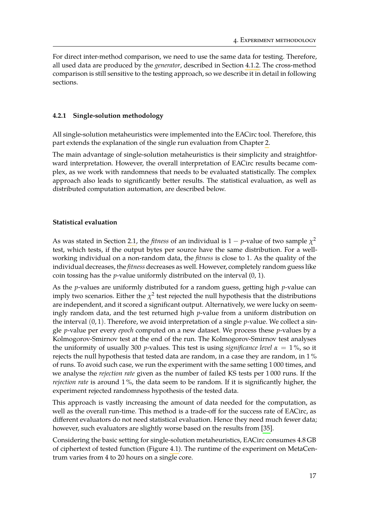For direct inter-method comparison, we need to use the same data for testing. Therefore, all used data are produced by the *generator*, described in Section [4.1.2.](#page-22-1) The cross-method comparison is still sensitive to the testing approach, so we describe it in detail in following sections.

#### <span id="page-24-0"></span>**4.2.1 Single-solution methodology**

All single-solution metaheuristics were implemented into the EACirc tool. Therefore, this part extends the explanation of the single run evaluation from Chapter [2.](#page-10-0)

The main advantage of single-solution metaheuristics is their simplicity and straightforward interpretation. However, the overall interpretation of EACirc results became complex, as we work with randomness that needs to be evaluated statistically. The complex approach also leads to significantly better results. The statistical evaluation, as well as distributed computation automation, are described below.

#### <span id="page-24-1"></span>**Statistical evaluation**

As was stated in Section [2.1,](#page-10-1) the *fitness* of an individual is  $1 - p$ -value of two sample  $\chi^2$ test, which tests, if the output bytes per source have the same distribution. For a wellworking individual on a non-random data, the *fitness* is close to 1. As the quality of the individual decreases, the *fitness* decreases as well. However, completely random guess like coin tossing has the *p*-value uniformly distributed on the interval (0, 1).

As the *p*-values are uniformly distributed for a random guess, getting high *p*-value can imply two scenarios. Either the  $\chi^2$  test rejected the null hypothesis that the distributions are independent, and it scored a significant output. Alternatively, we were lucky on seemingly random data, and the test returned high *p*-value from a uniform distribution on the interval (0, 1). Therefore, we avoid interpretation of a single *p*-value. We collect a single *p*-value per every *epoch* computed on a new dataset. We process these *p*-values by a Kolmogorov-Smirnov test at the end of the run. The Kolmogorov-Smirnov test analyses the uniformity of usually 300 *p*-values. This test is using *significance level*  $\alpha = 1\%$ , so it rejects the null hypothesis that tested data are random, in a case they are random, in 1 % of runs. To avoid such case, we run the experiment with the same setting 1 000 times, and we analyse the *rejection rate* given as the number of failed KS tests per 1 000 runs. If the *rejection rate* is around 1 %, the data seem to be random. If it is significantly higher, the experiment rejected randomness hypothesis of the tested data.

This approach is vastly increasing the amount of data needed for the computation, as well as the overall run-time. This method is a trade-off for the success rate of EACirc, as different evaluators do not need statistical evaluation. Hence they need much fewer data; however, such evaluators are slightly worse based on the results from [\[35\]](#page-48-1).

Considering the basic setting for single-solution metaheuristics, EACirc consumes 4.8 GB of ciphertext of tested function (Figure [4.1\)](#page-25-0). The runtime of the experiment on MetaCentrum varies from 4 to 20 hours on a single core.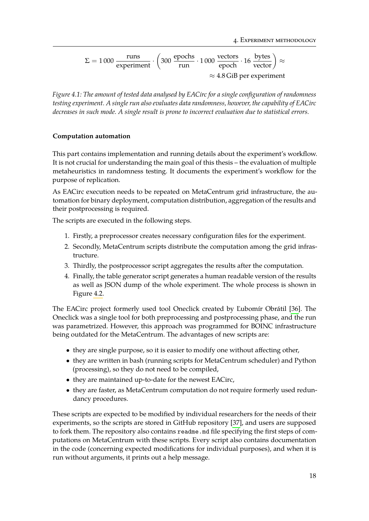<span id="page-25-0"></span>
$$
\Sigma = 1000 \frac{\text{runs}}{\text{experiment}} \cdot \left( 300 \frac{\text{epochs}}{\text{run}} \cdot 1000 \frac{\text{vectors}}{\text{epoch}} \cdot 16 \frac{\text{bytes}}{\text{vector}} \right) \approx 4.8 \text{ GiB per experiment}
$$

*Figure 4.1: The amount of tested data analysed by EACirc for a single configuration of randomness testing experiment. A single run also evaluates data randomness, however, the capability of EACirc decreases in such mode. A single result is prone to incorrect evaluation due to statistical errors.*

#### **Computation automation**

This part contains implementation and running details about the experiment's workflow. It is not crucial for understanding the main goal of this thesis – the evaluation of multiple metaheuristics in randomness testing. It documents the experiment's workflow for the purpose of replication.

As EACirc execution needs to be repeated on MetaCentrum grid infrastructure, the automation for binary deployment, computation distribution, aggregation of the results and their postprocessing is required.

The scripts are executed in the following steps.

- 1. Firstly, a preprocessor creates necessary configuration files for the experiment.
- 2. Secondly, MetaCentrum scripts distribute the computation among the grid infrastructure.
- 3. Thirdly, the postprocessor script aggregates the results after the computation.
- 4. Finally, the table generator script generates a human readable version of the results as well as JSON dump of the whole experiment. The whole process is shown in Figure [4.2.](#page-26-0)

The EACirc project formerly used tool Oneclick created by Ľubomír Obrátil [\[36\]](#page-48-2). The Oneclick was a single tool for both preprocessing and postprocessing phase, and the run was parametrized. However, this approach was programmed for BOINC infrastructure being outdated for the MetaCentrum. The advantages of new scripts are:

- ∙ they are single purpose, so it is easier to modify one without affecting other,
- ∙ they are written in bash (running scripts for MetaCentrum scheduler) and Python (processing), so they do not need to be compiled,
- ∙ they are maintained up-to-date for the newest EACirc,
- ∙ they are faster, as MetaCentrum computation do not require formerly used redundancy procedures.

These scripts are expected to be modified by individual researchers for the needs of their experiments, so the scripts are stored in GitHub repository [\[37\]](#page-48-3), and users are supposed to fork them. The repository also contains readme.md file specifying the first steps of computations on MetaCentrum with these scripts. Every script also contains documentation in the code (concerning expected modifications for individual purposes), and when it is run without arguments, it prints out a help message.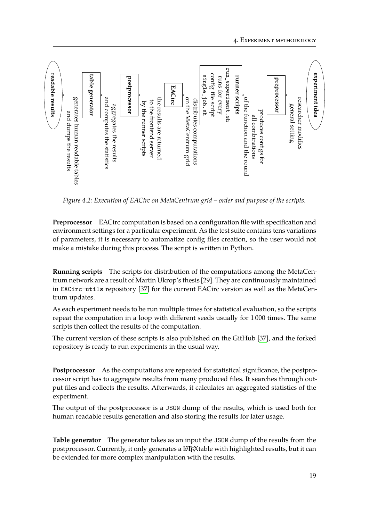<span id="page-26-0"></span>

*Figure 4.2: Execution of EACirc on MetaCentrum grid – order and purpose of the scripts.*

**Preprocessor** EACirc computation is based on a configuration file with specification and environment settings for a particular experiment. As the test suite contains tens variations of parameters, it is necessary to automatize config files creation, so the user would not make a mistake during this process. The script is written in Python.

**Running scripts** The scripts for distribution of the computations among the MetaCentrum network are a result of Martin Ukrop's thesis [\[29\]](#page-47-11). They are continuously maintained in EACirc-utils repository [\[37\]](#page-48-3) for the current EACirc version as well as the MetaCentrum updates.

As each experiment needs to be run multiple times for statistical evaluation, so the scripts repeat the computation in a loop with different seeds usually for 1 000 times. The same scripts then collect the results of the computation.

The current version of these scripts is also published on the GitHub [\[37\]](#page-48-3), and the forked repository is ready to run experiments in the usual way.

**Postprocessor** As the computations are repeated for statistical significance, the postprocessor script has to aggregate results from many produced files. It searches through output files and collects the results. Afterwards, it calculates an aggregated statistics of the experiment.

The output of the postprocessor is a JSON dump of the results, which is used both for human readable results generation and also storing the results for later usage.

**Table generator** The generator takes as an input the JSON dump of the results from the postprocessor. Currently, it only generates a LAT<sub>E</sub>Xtable with highlighted results, but it can be extended for more complex manipulation with the results.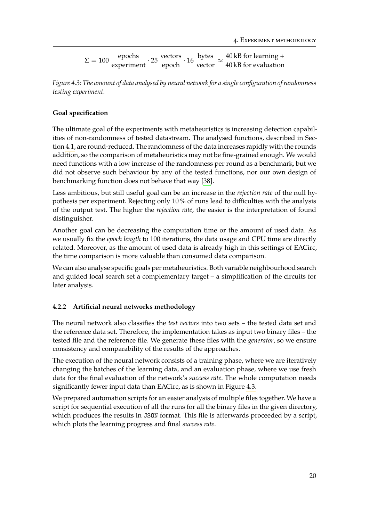<span id="page-27-1"></span> $Σ = 100 \frac{epochs}{experiment} \cdot 25 \frac{vectors}{epoch} \cdot 16 \frac{bytes}{vector}$  $\approx$  40 kB for learning + 40 kB for evaluation

*Figure 4.3: The amount of data analysed by neural network for a single configuration of randomness testing experiment.*

#### **Goal specification**

The ultimate goal of the experiments with metaheuristics is increasing detection capabilities of non-randomness of tested datastream. The analysed functions, described in Section [4.1,](#page-21-1) are round-reduced. The randomness of the data increases rapidly with the rounds addition, so the comparison of metaheuristics may not be fine-grained enough. We would need functions with a low increase of the randomness per round as a benchmark, but we did not observe such behaviour by any of the tested functions, nor our own design of benchmarking function does not behave that way [\[38\]](#page-48-4).

Less ambitious, but still useful goal can be an increase in the *rejection rate* of the null hypothesis per experiment. Rejecting only 10 % of runs lead to difficulties with the analysis of the output test. The higher the *rejection rate*, the easier is the interpretation of found distinguisher.

Another goal can be decreasing the computation time or the amount of used data. As we usually fix the *epoch length* to 100 iterations, the data usage and CPU time are directly related. Moreover, as the amount of used data is already high in this settings of EACirc, the time comparison is more valuable than consumed data comparison.

We can also analyse specific goals per metaheuristics. Both variable neighbourhood search and guided local search set a complementary target – a simplification of the circuits for later analysis.

#### <span id="page-27-0"></span>**4.2.2 Artificial neural networks methodology**

The neural network also classifies the *test vectors* into two sets – the tested data set and the reference data set. Therefore, the implementation takes as input two binary files – the tested file and the reference file. We generate these files with the *generator*, so we ensure consistency and comparability of the results of the approaches.

The execution of the neural network consists of a training phase, where we are iteratively changing the batches of the learning data, and an evaluation phase, where we use fresh data for the final evaluation of the network's *success rate*. The whole computation needs significantly fewer input data than EACirc, as is shown in Figure [4.3.](#page-27-1)

We prepared automation scripts for an easier analysis of multiple files together. We have a script for sequential execution of all the runs for all the binary files in the given directory, which produces the results in JSON format. This file is afterwards proceeded by a script, which plots the learning progress and final *success rate*.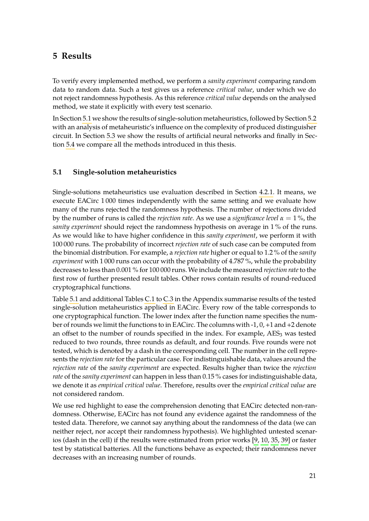# <span id="page-28-0"></span>**5 Results**

To verify every implemented method, we perform a *sanity experiment* comparing random data to random data. Such a test gives us a reference *critical value*, under which we do not reject randomness hypothesis. As this reference *critical value* depends on the analysed method, we state it explicitly with every test scenario.

In Section [5.1](#page-28-1) we show the results of single-solution metaheuristics, followed by Section [5.2](#page-32-1) with an analysis of metaheuristic's influence on the complexity of produced distinguisher circuit. In Section [5.3](#page-33-1) we show the results of artificial neural networks and finally in Section [5.4](#page-36-0) we compare all the methods introduced in this thesis.

#### <span id="page-28-1"></span>**5.1 Single-solution metaheuristics**

Single-solutions metaheuristics use evaluation described in Section [4.2.1.](#page-24-1) It means, we execute EACirc 1 000 times independently with the same setting and we evaluate how many of the runs rejected the randomness hypothesis. The number of rejections divided by the number of runs is called the *rejection rate*. As we use a *significance level α* = 1 %, the *sanity experiment* should reject the randomness hypothesis on average in 1 % of the runs. As we would like to have higher confidence in this *sanity experiment*, we perform it with 100 000 runs. The probability of incorrect *rejection rate* of such case can be computed from the binomial distribution. For example, a *rejection rate* higher or equal to 1.2 % of the *sanity experiment* with 1 000 runs can occur with the probability of 4.787 %, while the probability decreases to less than 0.001 % for 100 000 runs. We include the measured *rejection rate*to the first row of further presented result tables. Other rows contain results of round-reduced cryptographical functions.

Table [5.1](#page-29-1) and additional Tables [C.1](#page-54-1) to [C.3](#page-55-0) in the Appendix summarise results of the tested single-solution metaheuristics applied in EACirc. Every row of the table corresponds to one cryptographical function. The lower index after the function name specifies the number of rounds we limit the functions to in EACirc. The columns with -1, 0, +1 and +2 denote an offset to the number of rounds specified in the index. For example,  $\text{AES}_3$  was tested reduced to two rounds, three rounds as default, and four rounds. Five rounds were not tested, which is denoted by a dash in the corresponding cell. The number in the cell represents the *rejection rate* for the particular case. For indistinguishable data, values around the *rejection rate* of the *sanity experiment* are expected. Results higher than twice the *rejection rate* of the *sanity experiment* can happen in less than 0.15 % cases for indistinguishable data, we denote it as *empirical critical value*. Therefore, results over the *empirical critical value* are not considered random.

We use red highlight to ease the comprehension denoting that EACirc detected non-randomness. Otherwise, EACirc has not found any evidence against the randomness of the tested data. Therefore, we cannot say anything about the randomness of the data (we can neither reject, nor accept their randomness hypothesis). We highlighted untested scenarios (dash in the cell) if the results were estimated from prior works [\[9,](#page-46-9) [10,](#page-46-10) [35,](#page-48-1) [39\]](#page-48-5) or faster test by statistical batteries. All the functions behave as expected; their randomness never decreases with an increasing number of rounds.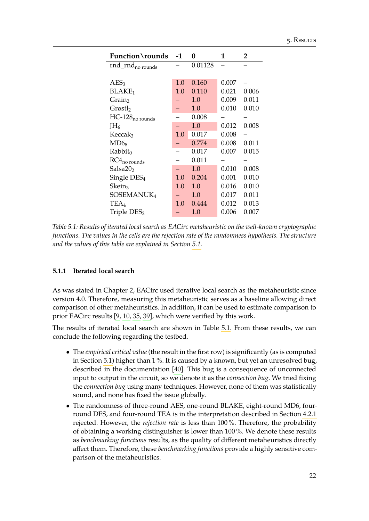5. Results

<span id="page-29-1"></span>

| Function\rounds              | -1  | 0       | 1     | $\overline{2}$ |
|------------------------------|-----|---------|-------|----------------|
| rnd_rnd <sub>no rounds</sub> |     | 0.01128 |       |                |
|                              |     |         |       |                |
| $\text{AES}_3$               | 1.0 | 0.160   | 0.007 |                |
| BLAKE <sub>1</sub>           | 1.0 | 0.110   | 0.021 | 0.006          |
| Grain <sub>2</sub>           |     | 1.0     | 0.009 | 0.011          |
| Grøstl <sub>2</sub>          |     | 1.0     | 0.010 | 0.010          |
| $HC-128_{no \, rounds}$      |     | 0.008   |       |                |
| $JH_6$                       |     | 1.0     | 0.012 | 0.008          |
| Keccak <sub>3</sub>          | 1.0 | 0.017   | 0.008 |                |
| $MD6_8$                      |     | 0.774   | 0.008 | 0.011          |
| Rabbit <sub>0</sub>          |     | 0.017   | 0.007 | 0.015          |
| $RC4_{no \, rounds}$         |     | 0.011   |       |                |
| Salsa20 <sub>2</sub>         |     | 1.0     | 0.010 | 0.008          |
| Single DES <sub>4</sub>      | 1.0 | 0.204   | 0.001 | 0.010          |
| Skein <sub>3</sub>           | 1.0 | 1.0     | 0.016 | 0.010          |
| SOSEMANUK <sub>4</sub>       |     | 1.0     | 0.017 | 0.011          |
| TEA <sub>4</sub>             | 1.0 | 0.444   | 0.012 | 0.013          |
| Triple $DES2$                |     | 1.0     | 0.006 | 0.007          |

*Table 5.1: Results of iterated local search as EACirc metaheuristic on the well-known cryptographic functions. The values in the cells are the rejection rate of the randomness hypothesis. The structure and the values of this table are explained in Section [5.1.](#page-28-1)*

#### <span id="page-29-0"></span>**5.1.1 Iterated local search**

As was stated in Chapter [2,](#page-10-0) EACirc used iterative local search as the metaheuristic since version 4.0. Therefore, measuring this metaheuristic serves as a baseline allowing direct comparison of other metaheuristics. In addition, it can be used to estimate comparison to prior EACirc results [\[9,](#page-46-9) [10,](#page-46-10) [35,](#page-48-1) [39\]](#page-48-5), which were verified by this work.

The results of iterated local search are shown in Table [5.1.](#page-29-1) From these results, we can conclude the following regarding the testbed.

- ∙ The *empirical critical value* (the result in the first row) is significantly (as is computed in Section [5.1\)](#page-28-1) higher than 1 %. It is caused by a known, but yet an unresolved bug, described in the documentation [\[40\]](#page-48-6). This bug is a consequence of unconnected input to output in the circuit, so we denote it as the *connection bug*. We tried fixing the *connection bug* using many techniques. However, none of them was statistically sound, and none has fixed the issue globally.
- ∙ The randomness of three-round AES, one-round BLAKE, eight-round MD6, fourround DES, and four-round TEA is in the interpretation described in Section [4.2.1](#page-24-0) rejected. However, the *rejection rate* is less than 100 %. Therefore, the probability of obtaining a working distinguisher is lower than 100 %. We denote these results as *benchmarking functions* results, as the quality of different metaheuristics directly affect them. Therefore, these *benchmarking functions* provide a highly sensitive comparison of the metaheuristics.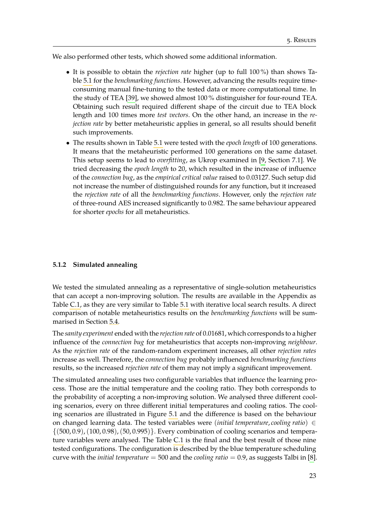We also performed other tests, which showed some additional information.

- ∙ It is possible to obtain the *rejection rate* higher (up to full 100 %) than shows Table [5.1](#page-29-1) for the *benchmarking functions*. However, advancing the results require timeconsuming manual fine-tuning to the tested data or more computational time. In the study of TEA [\[39\]](#page-48-5), we showed almost 100 % distinguisher for four-round TEA. Obtaining such result required different shape of the circuit due to TEA block length and 100 times more *test vectors*. On the other hand, an increase in the *rejection rate* by better metaheuristic applies in general, so all results should benefit such improvements.
- ∙ The results shown in Table [5.1](#page-29-1) were tested with the *epoch length* of 100 generations. It means that the metaheuristic performed 100 generations on the same dataset. This setup seems to lead to *overfitting*, as Ukrop examined in [\[9,](#page-46-9) Section 7.1]. We tried decreasing the *epoch length* to 20, which resulted in the increase of influence of the *connection bug*, as the *empirical critical value* raised to 0.03127. Such setup did not increase the number of distinguished rounds for any function, but it increased the *rejection rate* of all the *benchmarking functions*. However, only the *rejection rate* of three-round AES increased significantly to 0.982. The same behaviour appeared for shorter *epochs* for all metaheuristics.

#### <span id="page-30-0"></span>**5.1.2 Simulated annealing**

We tested the simulated annealing as a representative of single-solution metaheuristics that can accept a non-improving solution. The results are available in the Appendix as Table [C.1,](#page-54-1) as they are very similar to Table [5.1](#page-29-1) with iterative local search results. A direct comparison of notable metaheuristics results on the *benchmarking functions* will be summarised in Section [5.4.](#page-36-0)

The *sanity experiment* ended with the *rejection rate* of 0.01681, which corresponds to a higher influence of the *connection bug* for metaheuristics that accepts non-improving *neighbour*. As the *rejection rate* of the random-random experiment increases, all other *rejection rates* increase as well. Therefore, the *connection bug* probably influenced *benchmarking functions* results, so the increased *rejection rate* of them may not imply a significant improvement.

The simulated annealing uses two configurable variables that influence the learning process. Those are the initial temperature and the cooling ratio. They both corresponds to the probability of accepting a non-improving solution. We analysed three different cooling scenarios, every on three different initial temperatures and cooling ratios. The cooling scenarios are illustrated in Figure [5.1](#page-31-1) and the difference is based on the behaviour on changed learning data. The tested variables were (*initial temperature*, *cooling ratio*) ∈  $\{(500, 0.9), (100, 0.98), (50, 0.995)\}.$  Every combination of cooling scenarios and temperature variables were analysed. The Table [C.1](#page-54-1) is the final and the best result of those nine tested configurations. The configuration is described by the blue temperature scheduling curve with the *initial temperature* = 500 and the *cooling ratio* = 0.9, as suggests Talbi in [\[8\]](#page-46-8).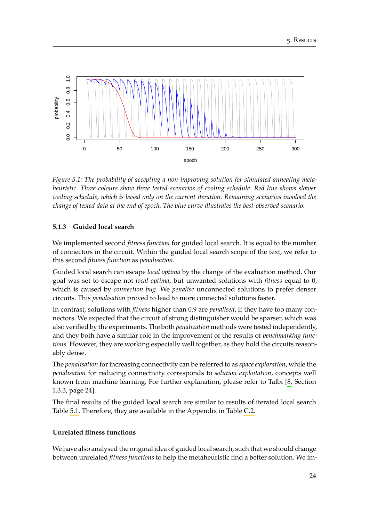<span id="page-31-1"></span>

*Figure 5.1: The probability of accepting a non-improving solution for simulated annealing metaheuristic. Three colours show three tested scenarios of cooling schedule. Red line shows slower cooling schedule, which is based only on the current iteration. Remaining scenarios involved the change of tested data at the end of epoch. The blue curve illustrates the best-observed scenario.*

#### <span id="page-31-0"></span>**5.1.3 Guided local search**

We implemented second *fitness function* for guided local search. It is equal to the number of connectors in the circuit. Within the guided local search scope of the text, we refer to this second *fitness function* as *penalisation*.

Guided local search can escape *local optima* by the change of the evaluation method. Our goal was set to escape not *local optima*, but unwanted solutions with *fitness* equal to 0, which is caused by *connection bug*. We *penalise* unconnected solutions to prefer denser circuits. This *penalisation* proved to lead to more connected solutions faster.

In contrast, solutions with *fitness* higher than 0.9 are *penalised*, if they have too many connectors. We expected that the circuit of strong distinguisher would be sparser, which was also verified by the experiments. The both *penalization* methods were tested independently, and they both have a similar role in the improvement of the results of *benchmarking functions*. However, they are working especially well together, as they hold the circuits reasonably dense.

The *penalisation* for increasing connectivity can be referred to as *space exploration*, while the *penalisation* for reducing connectivity corresponds to *solution exploitation*, concepts well known from machine learning. For further explanation, please refer to Talbi [\[8,](#page-46-8) Section 1.3.3, page 24].

The final results of the guided local search are similar to results of iterated local search Table [5.1.](#page-29-1) Therefore, they are available in the Appendix in Table [C.2.](#page-55-1)

#### **Unrelated fitness functions**

We have also analysed the original idea of guided local search, such that we should change between unrelated *fitness functions* to help the metaheuristic find a better solution. We im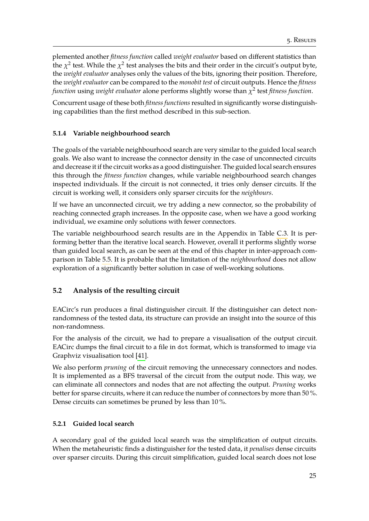plemented another *fitness function* called *weight evaluator* based on different statistics than the  $\chi^2$  test. While the  $\chi^2$  test analyses the bits and their order in the circuit's output byte, the *weight evaluator* analyses only the values of the bits, ignoring their position. Therefore, the *weight evaluator* can be compared to the *monobit test* of circuit outputs. Hence the *fitness function* using *weight evaluator* alone performs slightly worse than *χ* 2 test *fitness function*.

Concurrent usage of these both *fitness functions*resulted in significantly worse distinguishing capabilities than the first method described in this sub-section.

#### <span id="page-32-0"></span>**5.1.4 Variable neighbourhood search**

The goals of the variable neighbourhood search are very similar to the guided local search goals. We also want to increase the connector density in the case of unconnected circuits and decrease it if the circuit works as a good distinguisher. The guided local search ensures this through the *fitness function* changes, while variable neighbourhood search changes inspected individuals. If the circuit is not connected, it tries only denser circuits. If the circuit is working well, it considers only sparser circuits for the *neighbours*.

If we have an unconnected circuit, we try adding a new connector, so the probability of reaching connected graph increases. In the opposite case, when we have a good working individual, we examine only solutions with fewer connectors.

The variable neighbourhood search results are in the Appendix in Table [C.3.](#page-55-0) It is performing better than the iterative local search. However, overall it performs slightly worse than guided local search, as can be seen at the end of this chapter in inter-approach comparison in Table [5.5.](#page-37-0) It is probable that the limitation of the *neighbourhood* does not allow exploration of a significantly better solution in case of well-working solutions.

#### <span id="page-32-1"></span>**5.2 Analysis of the resulting circuit**

EACirc's run produces a final distinguisher circuit. If the distinguisher can detect nonrandomness of the tested data, its structure can provide an insight into the source of this non-randomness.

For the analysis of the circuit, we had to prepare a visualisation of the output circuit. EACirc dumps the final circuit to a file in dot format, which is transformed to image via Graphviz visualisation tool [\[41\]](#page-48-7).

We also perform *pruning* of the circuit removing the unnecessary connectors and nodes. It is implemented as a BFS traversal of the circuit from the output node. This way, we can eliminate all connectors and nodes that are not affecting the output. *Pruning* works better for sparse circuits, where it can reduce the number of connectors by more than 50 %. Dense circuits can sometimes be pruned by less than 10 %.

#### <span id="page-32-2"></span>**5.2.1 Guided local search**

A secondary goal of the guided local search was the simplification of output circuits. When the metaheuristic finds a distinguisher for the tested data, it *penalises* dense circuits over sparser circuits. During this circuit simplification, guided local search does not lose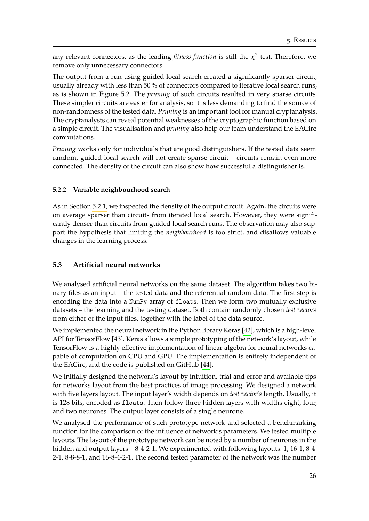any relevant connectors, as the leading *fitness function* is still the  $\chi^2$  test. Therefore, we remove only unnecessary connectors.

The output from a run using guided local search created a significantly sparser circuit, usually already with less than 50 % of connectors compared to iterative local search runs, as is shown in Figure [5.2.](#page-34-0) The *pruning* of such circuits resulted in very sparse circuits. These simpler circuits are easier for analysis, so it is less demanding to find the source of non-randomness of the tested data. *Pruning* is an important tool for manual cryptanalysis. The cryptanalysts can reveal potential weaknesses of the cryptographic function based on a simple circuit. The visualisation and *pruning* also help our team understand the EACirc computations.

*Pruning* works only for individuals that are good distinguishers. If the tested data seem random, guided local search will not create sparse circuit – circuits remain even more connected. The density of the circuit can also show how successful a distinguisher is.

#### <span id="page-33-0"></span>**5.2.2 Variable neighbourhood search**

As in Section [5.2.1,](#page-32-2) we inspected the density of the output circuit. Again, the circuits were on average sparser than circuits from iterated local search. However, they were significantly denser than circuits from guided local search runs. The observation may also support the hypothesis that limiting the *neighbourhood* is too strict, and disallows valuable changes in the learning process.

## <span id="page-33-1"></span>**5.3 Artificial neural networks**

We analysed artificial neural networks on the same dataset. The algorithm takes two binary files as an input – the tested data and the referential random data. The first step is encoding the data into a NumPy array of floats. Then we form two mutually exclusive datasets – the learning and the testing dataset. Both contain randomly chosen *test vectors* from either of the input files, together with the label of the data source.

We implemented the neural network in the Python library Keras [\[42\]](#page-48-8), which is a high-level API for TensorFlow [\[43\]](#page-48-9). Keras allows a simple prototyping of the network's layout, while TensorFlow is a highly effective implementation of linear algebra for neural networks capable of computation on CPU and GPU. The implementation is entirely independent of the EACirc, and the code is published on GitHub [\[44\]](#page-48-10).

We initially designed the network's layout by intuition, trial and error and available tips for networks layout from the best practices of image processing. We designed a network with five layers layout. The input layer's width depends on *test vector's* length. Usually, it is 128 bits, encoded as floats. Then follow three hidden layers with widths eight, four, and two neurones. The output layer consists of a single neurone.

We analysed the performance of such prototype network and selected a benchmarking function for the comparison of the influence of network's parameters. We tested multiple layouts. The layout of the prototype network can be noted by a number of neurones in the hidden and output layers – 8-4-2-1. We experimented with following layouts: 1, 16-1, 8-4-2-1, 8-8-8-1, and 16-8-4-2-1. The second tested parameter of the network was the number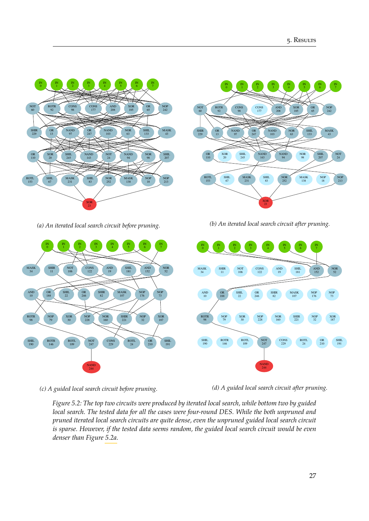<span id="page-34-0"></span>



*(a) An iterated local search circuit before pruning.*

*(b) An iterated local search circuit after pruning.*



*(c) A guided local search circuit before pruning.*

*(d) A guided local search circuit after pruning.*

*Figure 5.2: The top two circuits were produced by iterated local search, while bottom two by guided local search. The tested data for all the cases were four-round DES. While the both unpruned and pruned iterated local search circuits are quite dense, even the unpruned guided local search circuit is sparse. However, if the tested data seems random, the guided local search circuit would be even denser than Figure [5.2a.](#page-34-0)*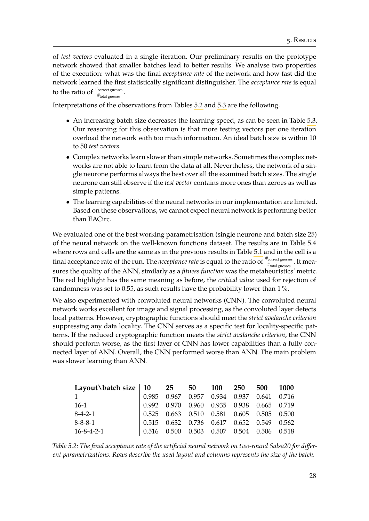of *test vectors* evaluated in a single iteration. Our preliminary results on the prototype network showed that smaller batches lead to better results. We analyse two properties of the execution: what was the final *acceptance rate* of the network and how fast did the network learned the first statistically significant distinguisher. The *acceptance rate* is equal to the ratio of  $\frac{\text{\#correct guesses}}{\text{\#total guesses}}$ .

Interpretations of the observations from Tables [5.2](#page-35-0) and [5.3](#page-36-1) are the following.

- ∙ An increasing batch size decreases the learning speed, as can be seen in Table [5.3.](#page-36-1) Our reasoning for this observation is that more testing vectors per one iteration overload the network with too much information. An ideal batch size is within 10 to 50 *test vectors*.
- ∙ Complex networks learn slower than simple networks. Sometimes the complex networks are not able to learn from the data at all. Nevertheless, the network of a single neurone performs always the best over all the examined batch sizes. The single neurone can still observe if the *test vector* contains more ones than zeroes as well as simple patterns.
- ∙ The learning capabilities of the neural networks in our implementation are limited. Based on these observations, we cannot expect neural network is performing better than EACirc.

We evaluated one of the best working parametrisation (single neurone and batch size 25) of the neural network on the well-known functions dataset. The results are in Table [5.4](#page-37-1) where rows and cells are the same as in the previous results in Table [5.1](#page-29-1) and in the cell is a final acceptance rate of the run. The *acceptance rate* is equal to the ratio of  $\frac{\#_{\rm corrected\,guess}}{\#_{\rm total\,guess}}.$  It measures the quality of the ANN, similarly as a *fitness function* was the metaheuristics' metric. The red highlight has the same meaning as before, the *critical value* used for rejection of randomness was set to 0.55, as such results have the probability lower than 1 %.

We also experimented with convoluted neural networks (CNN). The convoluted neural network works excellent for image and signal processing, as the convoluted layer detects local patterns. However, cryptographic functions should meet the *strict avalanche criterion* suppressing any data locality. The CNN serves as a specific test for locality-specific patterns. If the reduced cryptographic function meets the *strict avalanche criterion*, the CNN should perform worse, as the first layer of CNN has lower capabilities than a fully connected layer of ANN. Overall, the CNN performed worse than ANN. The main problem was slower learning than ANN.

<span id="page-35-0"></span>

| Layout batch size $\begin{array}{ccc} 10 & 25 & 50 & 100 & 250 & 500 & 1000 \end{array}$ |                                                         |  |  |  |
|------------------------------------------------------------------------------------------|---------------------------------------------------------|--|--|--|
|                                                                                          | 0.985 0.967 0.957 0.934 0.937 0.641 0.716               |  |  |  |
| $16-1$                                                                                   | 0.992 0.970 0.960 0.935 0.938 0.665 0.719               |  |  |  |
| $8-4-2-1$                                                                                | $0.525$ $0.663$ $0.510$ $0.581$ $0.605$ $0.505$ $0.500$ |  |  |  |
| $8 - 8 - 8 - 1$                                                                          | 0.515 0.632 0.736 0.617 0.652 0.549 0.562               |  |  |  |
| $16 - 8 - 4 - 2 - 1$                                                                     | $0.516$ $0.500$ $0.503$ $0.507$ $0.504$ $0.506$ $0.518$ |  |  |  |

*Table 5.2: The final acceptance rate of the artificial neural network on two-round Salsa20 for different parametrizations. Rows describe the used layout and columns represents the size of the batch.*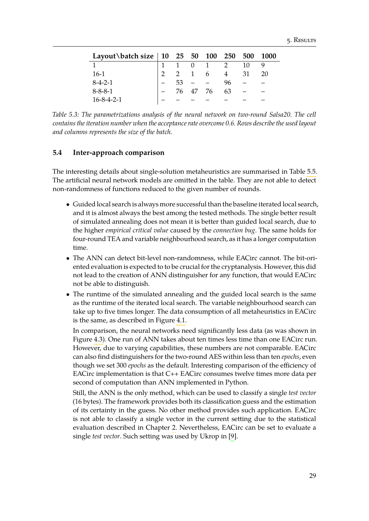<span id="page-36-1"></span>

| Layout \batch size   10 25 50 100 250 500 |                |                |             |            | <b>1000</b> |
|-------------------------------------------|----------------|----------------|-------------|------------|-------------|
|                                           |                |                |             | 1 0 1 2 10 |             |
| $16-1$                                    | $\overline{2}$ | $\overline{1}$ | 6           | 4 31       | 20          |
| $8-4-2-1$                                 | 53             |                |             | 96         |             |
| $8 - 8 - 8 - 1$                           |                |                | 76 47 76 63 |            |             |
| $16 - 8 - 4 - 2 - 1$                      |                |                |             |            |             |

*Table 5.3: The parametrizations analysis of the neural network on two-round Salsa20. The cell contains the iteration number when the acceptance rate overcome 0.6. Rows describe the used layout and columns represents the size of the batch.*

#### <span id="page-36-0"></span>**5.4 Inter-approach comparison**

The interesting details about single-solution metaheuristics are summarised in Table [5.5.](#page-37-0) The artificial neural network models are omitted in the table. They are not able to detect non-randomness of functions reduced to the given number of rounds.

- ∙ Guided local search is always more successful than the baseline iterated local search, and it is almost always the best among the tested methods. The single better result of simulated annealing does not mean it is better than guided local search, due to the higher *empirical critical value* caused by the *connection bug*. The same holds for four-round TEA and variable neighbourhood search, as it has a longer computation time.
- ∙ The ANN can detect bit-level non-randomness, while EACirc cannot. The bit-oriented evaluation is expected to to be crucial for the cryptanalysis. However, this did not lead to the creation of ANN distinguisher for any function, that would EACirc not be able to distinguish.
- ∙ The runtime of the simulated annealing and the guided local search is the same as the runtime of the iterated local search. The variable neighbourhood search can take up to five times longer. The data consumption of all metaheuristics in EACirc is the same, as described in Figure [4.1.](#page-25-0)

In comparison, the neural networks need significantly less data (as was shown in Figure [4.3\)](#page-27-1). One run of ANN takes about ten times less time than one EACirc run. However, due to varying capabilities, these numbers are not comparable. EACirc can also find distinguishers for the two-round AES within less than ten *epochs*, even though we set 300 *epochs* as the default. Interesting comparison of the efficiency of EACirc implementation is that C++ EACirc consumes twelve times more data per second of computation than ANN implemented in Python.

Still, the ANN is the only method, which can be used to classify a single *test vector* (16 bytes). The framework provides both its classification guess and the estimation of its certainty in the guess. No other method provides such application. EACirc is not able to classify a single vector in the current setting due to the statistical evaluation described in Chapter [2.](#page-10-0) Nevertheless, EACirc can be set to evaluate a single *test vector*. Such setting was used by Ukrop in [\[9\]](#page-46-9).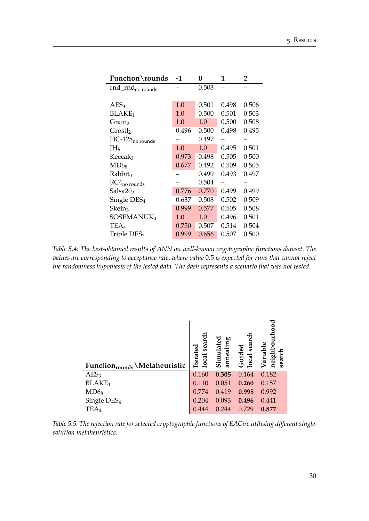<span id="page-37-1"></span>

| Function\rounds              | -1    | 0     | 1     | 2     |
|------------------------------|-------|-------|-------|-------|
| rnd_rnd <sub>no rounds</sub> |       | 0.503 |       |       |
|                              |       |       |       |       |
| AES <sub>3</sub>             | 1.0   | 0.501 | 0.498 | 0.506 |
| BLAKE <sub>1</sub>           | 1.0   | 0.500 | 0.501 | 0.503 |
| Grain <sub>2</sub>           | 1.0   | 1.0   | 0.500 | 0.508 |
| Grøstl <sub>2</sub>          | 0.496 | 0.500 | 0.498 | 0.495 |
| $HC-128_{no \, rounds}$      |       | 0.497 |       |       |
| JH <sub>6</sub>              | 1.0   | 1.0   | 0.495 | 0.501 |
| Keccak <sub>3</sub>          | 0.973 | 0.498 | 0.505 | 0.500 |
| $MD6_8$                      | 0.677 | 0.492 | 0.509 | 0.505 |
| $Rabbit_0$                   |       | 0.499 | 0.493 | 0.497 |
| $RC4_{no \, rounds}$         |       | 0.504 |       |       |
| Salsa20 <sub>2</sub>         | 0.776 | 0.770 | 0.499 | 0.499 |
| Single $DES4$                | 0.637 | 0.508 | 0.502 | 0.509 |
| Skein <sub>3</sub>           | 0.999 | 0.577 | 0.505 | 0.508 |
| SOSEMANUK <sub>4</sub>       | 1.0   | 1.0   | 0.496 | 0.501 |
| TEA <sub>4</sub>             | 0.750 | 0.507 | 0.514 | 0.504 |
| Triple $DES2$                | 0.999 | 0.656 | 0.507 | 0.500 |

*Table 5.4: The best-obtained results of ANN on well-known cryptographic functions dataset. The values are corresponding to acceptance rate, where value* 0.5 *is expected for runs that cannot reject the randomness hypothesis of the tested data. The dash represents a scenario that was not tested.*

<span id="page-37-0"></span>

| Function <sub>rounds</sub> Metaheuristic | search<br>Iterated<br>local sea | annealing<br>Simulate | searcl<br>Guided<br>local | neighbourhood<br>Variable<br>search |
|------------------------------------------|---------------------------------|-----------------------|---------------------------|-------------------------------------|
| AES <sub>3</sub>                         | 0.160                           | 0.305                 | 0.164                     | 0.182                               |
| BLAKE <sub>1</sub>                       | 0.110                           | 0.051                 | 0.260                     | 0.157                               |
| MD6 <sub>8</sub>                         | 0.774                           | 0.419                 | 0.995                     | 0.992                               |
| Single DES <sub>4</sub>                  | 0.204                           | 0.093                 | 0.496                     | 0.441                               |
| TEA <sub>4</sub>                         | 0.444                           | 0.244                 | 0.729                     | 0.877                               |

*Table 5.5: The rejection rate for selected cryptographic functions of EACirc utilising different singlesolution metaheuristics.*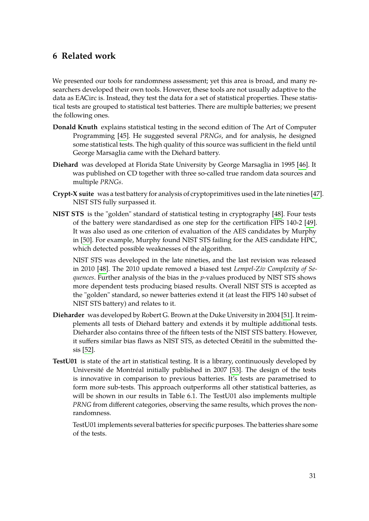# <span id="page-38-0"></span>**6 Related work**

We presented our tools for randomness assessment; yet this area is broad, and many researchers developed their own tools. However, these tools are not usually adaptive to the data as EACirc is. Instead, they test the data for a set of statistical properties. These statistical tests are grouped to statistical test batteries. There are multiple batteries; we present the following ones.

- **Donald Knuth** explains statistical testing in the second edition of The Art of Computer Programming [\[45\]](#page-48-11). He suggested several *PRNGs*, and for analysis, he designed some statistical tests. The high quality of this source was sufficient in the field until George Marsaglia came with the Diehard battery.
- **Diehard** was developed at Florida State University by George Marsaglia in 1995 [\[46\]](#page-48-12). It was published on CD together with three so-called true random data sources and multiple *PRNGs*.
- **Crypt-X suite** was a test battery for analysis of cryptoprimitives used in the late nineties [\[47\]](#page-48-13). NIST STS fully surpassed it.
- **NIST STS** is the "golden" standard of statistical testing in cryptography [\[48\]](#page-49-0). Four tests of the battery were standardised as one step for the certification FIPS 140-2 [\[49\]](#page-49-1). It was also used as one criterion of evaluation of the AES candidates by Murphy in [\[50\]](#page-49-2). For example, Murphy found NIST STS failing for the AES candidate HPC, which detected possible weaknesses of the algorithm.

NIST STS was developed in the late nineties, and the last revision was released in 2010 [\[48\]](#page-49-0). The 2010 update removed a biased test *Lempel-Ziv Complexity of Sequences*. Further analysis of the bias in the *p*-values produced by NIST STS shows more dependent tests producing biased results. Overall NIST STS is accepted as the "golden" standard, so newer batteries extend it (at least the FIPS 140 subset of NIST STS battery) and relates to it.

- **Dieharder** was developed by Robert G. Brown at the Duke University in 2004 [\[51\]](#page-49-3). It reimplements all tests of Diehard battery and extends it by multiple additional tests. Dieharder also contains three of the fifteen tests of the NIST STS battery. However, it suffers similar bias flaws as NIST STS, as detected Obrátil in the submitted thesis [\[52\]](#page-49-4).
- **TestU01** is state of the art in statistical testing. It is a library, continuously developed by Université de Montréal initially published in 2007 [\[53\]](#page-49-5). The design of the tests is innovative in comparison to previous batteries. It's tests are parametrised to form more sub-tests. This approach outperforms all other statistical batteries, as will be shown in our results in Table [6.1.](#page-40-1) The TestU01 also implements multiple *PRNG* from different categories, observing the same results, which proves the nonrandomness.

TestU01 implements several batteries for specific purposes. The batteries share some of the tests.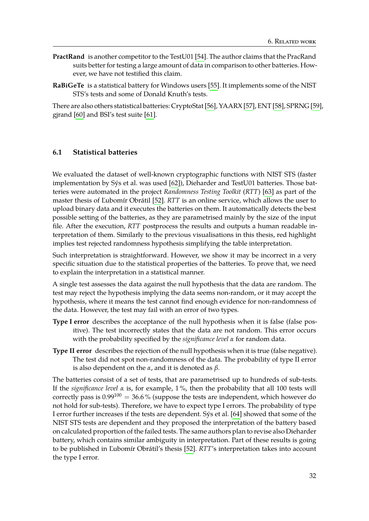- **PractRand** is another competitor to the TestU01 [\[54\]](#page-49-6). The author claims that the PracRand suits better for testing a large amount of data in comparison to other batteries. However, we have not testified this claim.
- **RaBiGeTe** is a statistical battery for Windows users [\[55\]](#page-49-7). It implements some of the NIST STS's tests and some of Donald Knuth's tests.

There are also others statistical batteries: CryptoStat [\[56\]](#page-49-8), YAARX [\[57\]](#page-49-9), ENT [\[58\]](#page-49-10), SPRNG [\[59\]](#page-49-11), gjrand [\[60\]](#page-49-12) and BSI's test suite [\[61\]](#page-49-13).

#### <span id="page-39-0"></span>**6.1 Statistical batteries**

We evaluated the dataset of well-known cryptographic functions with NIST STS (faster implementation by Sýs et al. was used [\[62\]](#page-49-14)), Dieharder and TestU01 batteries. Those batteries were automated in the project *Randomness Testing Toolkit* (*RTT*) [\[63\]](#page-50-0) as part of the master thesis of Ľubomír Obrátil [\[52\]](#page-49-4). *RTT* is an online service, which allows the user to upload binary data and it executes the batteries on them. It automatically detects the best possible setting of the batteries, as they are parametrised mainly by the size of the input file. After the execution, *RTT* postprocess the results and outputs a human readable interpretation of them. Similarly to the previous visualisations in this thesis, red highlight implies test rejected randomness hypothesis simplifying the table interpretation.

Such interpretation is straightforward. However, we show it may be incorrect in a very specific situation due to the statistical properties of the batteries. To prove that, we need to explain the interpretation in a statistical manner.

A single test assesses the data against the null hypothesis that the data are random. The test may reject the hypothesis implying the data seems non-random, or it may accept the hypothesis, where it means the test cannot find enough evidence for non-randomness of the data. However, the test may fail with an error of two types.

- **Type I error** describes the acceptance of the null hypothesis when it is false (false positive). The test incorrectly states that the data are not random. This error occurs with the probability specified by the *significance level α* for random data.
- **Type II error** describes the rejection of the null hypothesis when it is true (false negative). The test did not spot non-randomness of the data. The probability of type II error is also dependent on the *α*, and it is denoted as *β*.

The batteries consist of a set of tests, that are parametrised up to hundreds of sub-tests. If the *significance level*  $\alpha$  is, for example, 1%, then the probability that all 100 tests will correctly pass is  $0.99^{100} = 36.6\%$  (suppose the tests are independent, which however do not hold for sub-tests). Therefore, we have to expect type I errors. The probability of type I error further increases if the tests are dependent. Sýs et al. [\[64\]](#page-50-1) showed that some of the NIST STS tests are dependent and they proposed the interpretation of the battery based on calculated proportion of the failed tests. The same authors plan to revise also Dieharder battery, which contains similar ambiguity in interpretation. Part of these results is going to be published in Ľubomír Obrátil's thesis [\[52\]](#page-49-4). *RTT*'s interpretation takes into account the type I error.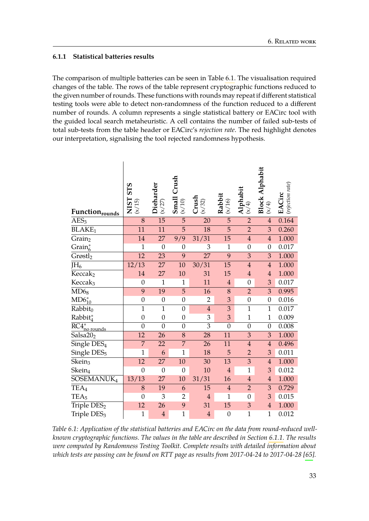#### <span id="page-40-0"></span>**6.1.1 Statistical batteries results**

The comparison of multiple batteries can be seen in Table [6.1.](#page-40-1) The visualisation required changes of the table. The rows of the table represent cryptographic functions reduced to the given number of rounds. These functions with rounds may repeat if different statistical testing tools were able to detect non-randomness of the function reduced to a different number of rounds. A column represents a single statistical battery or EACirc tool with the guided local search metaheuristic. A cell contains the number of failed sub-tests of total sub-tests from the table header or EACirc's *rejection rate*. The red highlight denotes our interpretation, signalising the tool rejected randomness hypothesis.

<span id="page-40-1"></span>

| <b>Function</b> <sub>rounds</sub>                     | STS<br><b>NIST</b><br>(x/15) | Dieharder<br>(x/27) | Crush<br>Small<br>$(x/10)$ | Crush<br>(x/32) | Rabbit<br>(x/16) | Alphabit<br>(x/4) | Block Alphabit<br>$(\kappa/4)$ | (rejection rate)<br>EACirc |
|-------------------------------------------------------|------------------------------|---------------------|----------------------------|-----------------|------------------|-------------------|--------------------------------|----------------------------|
| $\overline{AES_3}$                                    | 8                            | 15                  | $\overline{5}$             | 20              | $\overline{5}$   | $\overline{2}$    | $\overline{4}$                 | 0.164                      |
| BLAKE <sub>1</sub>                                    | 11                           | 11                  | 5                          | 18              | 5                | $\overline{2}$    | 3                              | 0.260                      |
| Grain <sub>2</sub>                                    | 14                           | 27                  | 9/9                        | 31/31           | 15               | $\overline{4}$    | $\overline{4}$                 | 1.000                      |
| Grain $_{6}^{*}$                                      | $\mathbf{1}$                 | $\mathbf{0}$        | $\boldsymbol{0}$           | 3               | $\mathbf{1}$     | $\overline{0}$    | $\boldsymbol{0}$               | 0.017                      |
| Grostl <sub>2</sub>                                   | 12                           | 23                  | 9                          | 27              | 9                | 3                 | 3                              | 1.000                      |
| $\overline{\text{JH}_6}$                              | 12/13                        | 27                  | 10                         | 30/31           | 15               | $\overline{4}$    | $\overline{4}$                 | 1.000                      |
| Keccak <sub>2</sub>                                   | 14                           | 27                  | 10                         | 31              | 15               | $\overline{4}$    | $\overline{4}$                 | 1.000                      |
| Keccak <sub>3</sub>                                   | $\boldsymbol{0}$             | $\mathbf{1}$        | $\mathbf{1}$               | 11              | $\overline{4}$   | $\overline{0}$    | 3                              | 0.017                      |
| $\overline{\mathrm{MD6}_8}$                           | 9                            | 19                  | 5                          | 16              | $\,8\,$          | $\overline{2}$    | 3                              | 0.995                      |
| $MD6_{10}^*$                                          | $\boldsymbol{0}$             | $\boldsymbol{0}$    | $\boldsymbol{0}$           | $\overline{2}$  | 3                | $\boldsymbol{0}$  | $\boldsymbol{0}$               | 0.016                      |
| $\overline{\text{Rab}}$ bit <sub>0</sub>              | $\overline{1}$               | $\overline{1}$      | $\overline{0}$             | $\overline{4}$  | 3                | $\overline{1}$    | $\overline{1}$                 | 0.017                      |
| Rabbit <sup>*</sup>                                   | $\boldsymbol{0}$             | $\boldsymbol{0}$    | $\overline{0}$             | 3               | 3                | $\mathbf{1}$      | $\mathbf{1}$                   | 0.009                      |
| $\overline{\text{RC4}^*_{\text{no} \text{ rounds}} }$ | $\overline{0}$               | $\overline{0}$      | $\overline{0}$             | $\overline{3}$  | $\overline{0}$   | $\overline{0}$    | $\overline{0}$                 | 0.008                      |
| Salsa20 <sub>2</sub>                                  | 12                           | 26                  | 8                          | 28              | 11               | 3                 | 3                              | 1.000                      |
| Single DES <sub>4</sub>                               | $\overline{7}$               | 22                  | $\overline{7}$             | 26              | 11               | $\overline{4}$    | $\overline{4}$                 | 0.496                      |
| Single DES <sub>5</sub>                               | $\mathbf{1}$                 | 6                   | $\mathbf{1}$               | 18              | 5                | $\overline{2}$    | 3                              | 0.011                      |
| Skein <sub>3</sub>                                    | 12                           | 27                  | 10                         | 30              | 13               | 3                 | $\overline{4}$                 | 1.000                      |
| Skein <sub>4</sub>                                    | $\overline{0}$               | $\boldsymbol{0}$    | $\overline{0}$             | 10              | $\overline{4}$   | $\overline{1}$    | 3                              | 0.012                      |
| SOSEMANUK <sub>4</sub>                                | 13/13                        | 27                  | 10                         | 31/31           | 16               | $\overline{4}$    | $\overline{4}$                 | 1.000                      |
| $\overline{\text{TEA}}_4$                             | 8                            | 19                  | 6                          | 15              | $\overline{4}$   | $\overline{2}$    | 3                              | 0.729                      |
| TEA <sub>5</sub>                                      | $\mathbf{0}$                 | 3                   | $\overline{2}$             | $\sqrt{4}$      | $\mathbf{1}$     | $\mathbf{0}$      | 3                              | 0.015                      |
| Triple DES <sub>2</sub>                               | 12                           | 26                  | 9                          | 31              | 15               | 3                 | $\overline{4}$                 | 1.000                      |
| Triple DES <sub>3</sub>                               | $\mathbf{1}$                 | $\overline{4}$      | $\mathbf{1}$               | $\overline{4}$  | $\mathbf{0}$     | $\mathbf{1}$      | $\mathbf{1}$                   | 0.012                      |

*Table 6.1: Application of the statistical batteries and EACirc on the data from round-reduced wellknown cryptographic functions. The values in the table are described in Section [6.1.1.](#page-40-0) The results were computed by Randomness Testing Toolkit. Complete results with detailed information about which tests are passing can be found on RTT page as results from 2017-04-24 to 2017-04-28 [\[65\]](#page-50-2).*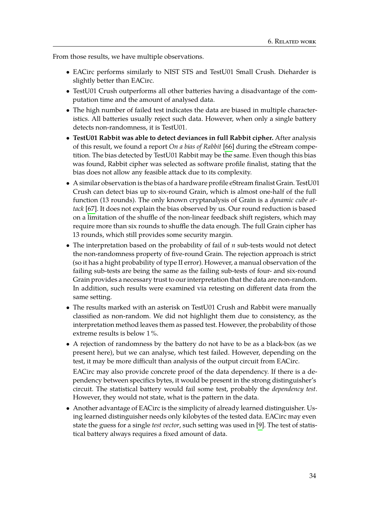From those results, we have multiple observations.

- ∙ EACirc performs similarly to NIST STS and TestU01 Small Crush. Dieharder is slightly better than EACirc.
- ∙ TestU01 Crush outperforms all other batteries having a disadvantage of the computation time and the amount of analysed data.
- ∙ The high number of failed test indicates the data are biased in multiple characteristics. All batteries usually reject such data. However, when only a single battery detects non-randomness, it is TestU01.
- ∙ **TestU01 Rabbit was able to detect deviances in full Rabbit cipher.** After analysis of this result, we found a report *On a bias of Rabbit* [\[66\]](#page-50-3) during the eStream competition. The bias detected by TestU01 Rabbit may be the same. Even though this bias was found, Rabbit cipher was selected as software profile finalist, stating that the bias does not allow any feasible attack due to its complexity.
- ∙ A similar observation is the bias of a hardware profile eStream finalist Grain. TestU01 Crush can detect bias up to six-round Grain, which is almost one-half of the full function (13 rounds). The only known cryptanalysis of Grain is a *dynamic cube attack* [\[67\]](#page-50-4). It does not explain the bias observed by us. Our round reduction is based on a limitation of the shuffle of the non-linear feedback shift registers, which may require more than six rounds to shuffle the data enough. The full Grain cipher has 13 rounds, which still provides some security margin.
- ∙ The interpretation based on the probability of fail of *n* sub-tests would not detect the non-randomness property of five-round Grain. The rejection approach is strict (so it has a hight probability of type II error). However, a manual observation of the failing sub-tests are being the same as the failing sub-tests of four- and six-round Grain provides a necessary trust to our interpretation that the data are non-random. In addition, such results were examined via retesting on different data from the same setting.
- ∙ The results marked with an asterisk on TestU01 Crush and Rabbit were manually classified as non-random. We did not highlight them due to consistency, as the interpretation method leaves them as passed test. However, the probability of those extreme results is below 1%.
- ∙ A rejection of randomness by the battery do not have to be as a black-box (as we present here), but we can analyse, which test failed. However, depending on the test, it may be more difficult than analysis of the output circuit from EACirc.

EACirc may also provide concrete proof of the data dependency. If there is a dependency between specifics bytes, it would be present in the strong distinguisher's circuit. The statistical battery would fail some test, probably the *dependency test*. However, they would not state, what is the pattern in the data.

∙ Another advantage of EACirc is the simplicity of already learned distinguisher. Using learned distinguisher needs only kilobytes of the tested data. EACirc may even state the guess for a single *test vector*, such setting was used in [\[9\]](#page-46-9). The test of statistical battery always requires a fixed amount of data.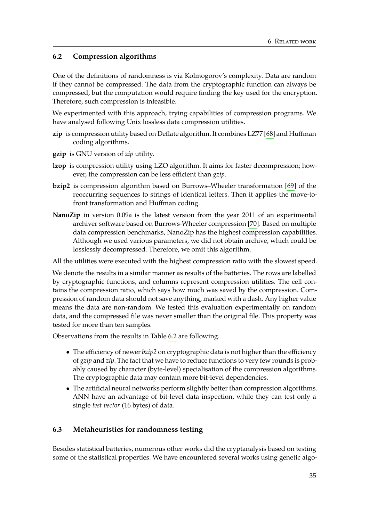#### <span id="page-42-0"></span>**6.2 Compression algorithms**

One of the definitions of randomness is via Kolmogorov's complexity. Data are random if they cannot be compressed. The data from the cryptographic function can always be compressed, but the computation would require finding the key used for the encryption. Therefore, such compression is infeasible.

We experimented with this approach, trying capabilities of compression programs. We have analysed following Unix lossless data compression utilities.

- **zip** is compression utility based on Deflate algorithm. It combines LZ77 [\[68\]](#page-50-5) and Huffman coding algorithms.
- **gzip** is GNU version of *zip* utility.
- **lzop** is compression utility using LZO algorithm. It aims for faster decompression; however, the compression can be less efficient than *gzip*.
- **bzip2** is compression algorithm based on Burrows–Wheeler transformation [\[69\]](#page-50-6) of the reoccurring sequences to strings of identical letters. Then it applies the move-tofront transformation and Huffman coding.
- **NanoZip** in version 0.09a is the latest version from the year 2011 of an experimental archiver software based on Burrows-Wheeler compression [\[70\]](#page-50-7). Based on multiple data compression benchmarks, NanoZip has the highest compression capabilities. Although we used various parameters, we did not obtain archive, which could be losslessly decompressed. Therefore, we omit this algorithm.

All the utilities were executed with the highest compression ratio with the slowest speed.

We denote the results in a similar manner as results of the batteries. The rows are labelled by cryptographic functions, and columns represent compression utilities. The cell contains the compression ratio, which says how much was saved by the compression. Compression of random data should not save anything, marked with a dash. Any higher value means the data are non-random. We tested this evaluation experimentally on random data, and the compressed file was never smaller than the original file. This property was tested for more than ten samples.

Observations from the results in Table [6.2](#page-43-0) are following.

- ∙ The efficiency of newer *bzip2* on cryptographic data is not higher than the efficiency of *gzip* and *zip*. The fact that we have to reduce functions to very few rounds is probably caused by character (byte-level) specialisation of the compression algorithms. The cryptographic data may contain more bit-level dependencies.
- ∙ The artificial neural networks perform slightly better than compression algorithms. ANN have an advantage of bit-level data inspection, while they can test only a single *test vector* (16 bytes) of data.

#### <span id="page-42-1"></span>**6.3 Metaheuristics for randomness testing**

Besides statistical batteries, numerous other works did the cryptanalysis based on testing some of the statistical properties. We have encountered several works using genetic algo-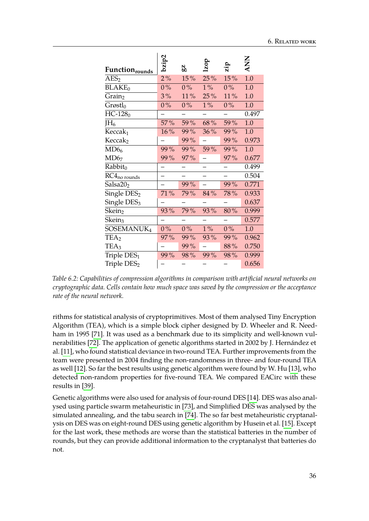<span id="page-43-0"></span>

| Function <sub>rounds</sub> | bzip2 | 82     | lzop  | zip        | <b>Z<br/>Z<br/>Z</b> |
|----------------------------|-------|--------|-------|------------|----------------------|
| $\text{AES}_2$             | $2\%$ | 15%    | 25%   | 15%        | 1.0                  |
| BLAKE <sub>0</sub>         | $0\%$ | $0\%$  | $1\%$ | $0\%$      | 1.0                  |
| Grain <sub>2</sub>         | $3\%$ | 11%    | 25%   | 11%        | 1.0                  |
| Grostl <sub>0</sub>        | $0\%$ | $0\%$  | $1\%$ | $0\%$      | 1.0                  |
| $HC-1280$                  |       |        |       |            | 0.497                |
| JH <sub>6</sub>            | 57%   | 59%    | 68%   | 59%        | 1.0                  |
| Keccak <sub>1</sub>        | 16%   | 99%    | 36%   | 99%        | 1.0                  |
| Keccak <sub>2</sub>        |       | 99%    |       | 99%        | 0.973                |
| $\overline{MD6}_6$         | 99%   | 99%    | 59%   | 99%        | 1.0                  |
| MD6 <sub>7</sub>           | 99%   | 97%    |       | 97%        | 0.677                |
| Rabbit <sub>0</sub>        |       |        |       |            | 0.499                |
| $RC4_{no \text{ rounds}}$  |       |        |       |            | 0.504                |
| Salsa $202$                |       | 99%    |       | 99%        | 0.771                |
| Single DES <sub>2</sub>    | 71%   | 79%    | 84%   | <b>78%</b> | 0.933                |
| Single DES <sub>3</sub>    |       |        |       |            | 0.637                |
| Skein <sub>2</sub>         | 93%   | 79%    | 93%   | 80%        | 0.999                |
| Skein <sub>3</sub>         |       |        |       |            | 0.577                |
| SOSEMANUK <sub>4</sub>     | $0\%$ | $0\%$  | $1\%$ | $0\%$      | 1.0                  |
| TEA <sub>2</sub>           | 97%   | $99\%$ | 93%   | $99\%$     | 0.962                |
| TEA <sub>3</sub>           |       | 99%    | —     | 88%        | 0.750                |
| Triple $DES1$              | 99%   | 98%    | 99%   | 98%        | 0.999                |
| Triple DES <sub>2</sub>    |       |        |       |            | 0.656                |

*Table 6.2: Capabilities of compression algorithms in comparison with artificial neural networks on cryptographic data. Cells contain how much space was saved by the compression or the acceptance rate of the neural network.*

rithms for statistical analysis of cryptoprimitives. Most of them analysed Tiny Encryption Algorithm (TEA), which is a simple block cipher designed by D. Wheeler and R. Needham in 1995 [\[71\]](#page-50-8). It was used as a benchmark due to its simplicity and well-known vulnerabilities [\[72\]](#page-50-9). The application of genetic algorithms started in 2002 by J. Hernández et al. [\[11\]](#page-46-11), who found statistical deviance in two-round TEA. Further improvements from the team were presented in 2004 finding the non-randomness in three- and four-round TEA as well [\[12\]](#page-46-14). So far the best results using genetic algorithm were found by W. Hu [\[13\]](#page-46-15), who detected non-random properties for five-round TEA. We compared EACirc with these results in [\[39\]](#page-48-5).

Genetic algorithms were also used for analysis of four-round DES [\[14\]](#page-46-16). DES was also analysed using particle swarm metaheuristic in [\[73\]](#page-50-10), and Simplified DES was analysed by the simulated annealing, and the tabu search in [\[74\]](#page-50-11). The so far best metaheuristic cryptanalysis on DES was on eight-round DES using genetic algorithm by Husein et al. [\[15\]](#page-46-12). Except for the last work, these methods are worse than the statistical batteries in the number of rounds, but they can provide additional information to the cryptanalyst that batteries do not.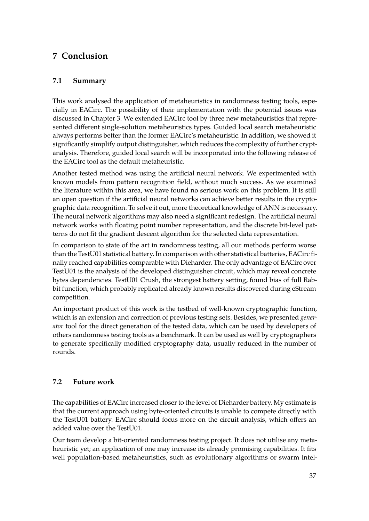# <span id="page-44-0"></span>**7 Conclusion**

#### <span id="page-44-1"></span>**7.1 Summary**

This work analysed the application of metaheuristics in randomness testing tools, especially in EACirc. The possibility of their implementation with the potential issues was discussed in Chapter [3.](#page-12-0) We extended EACirc tool by three new metaheuristics that represented different single-solution metaheuristics types. Guided local search metaheuristic always performs better than the former EACirc's metaheuristic. In addition, we showed it significantly simplify output distinguisher, which reduces the complexity of further cryptanalysis. Therefore, guided local search will be incorporated into the following release of the EACirc tool as the default metaheuristic.

Another tested method was using the artificial neural network. We experimented with known models from pattern recognition field, without much success. As we examined the literature within this area, we have found no serious work on this problem. It is still an open question if the artificial neural networks can achieve better results in the cryptographic data recognition. To solve it out, more theoretical knowledge of ANN is necessary. The neural network algorithms may also need a significant redesign. The artificial neural network works with floating point number representation, and the discrete bit-level patterns do not fit the gradient descent algorithm for the selected data representation.

In comparison to state of the art in randomness testing, all our methods perform worse than the TestU01 statistical battery. In comparison with other statistical batteries, EACirc finally reached capabilities comparable with Dieharder. The only advantage of EACirc over TestU01 is the analysis of the developed distinguisher circuit, which may reveal concrete bytes dependencies. TestU01 Crush, the strongest battery setting, found bias of full Rabbit function, which probably replicated already known results discovered during eStream competition.

An important product of this work is the testbed of well-known cryptographic function, which is an extension and correction of previous testing sets. Besides, we presented *generator* tool for the direct generation of the tested data, which can be used by developers of others randomness testing tools as a benchmark. It can be used as well by cryptographers to generate specifically modified cryptography data, usually reduced in the number of rounds.

## <span id="page-44-2"></span>**7.2 Future work**

The capabilities of EACirc increased closer to the level of Dieharder battery. My estimate is that the current approach using byte-oriented circuits is unable to compete directly with the TestU01 battery. EACirc should focus more on the circuit analysis, which offers an added value over the TestU01.

Our team develop a bit-oriented randomness testing project. It does not utilise any metaheuristic yet; an application of one may increase its already promising capabilities. It fits well population-based metaheuristics, such as evolutionary algorithms or swarm intel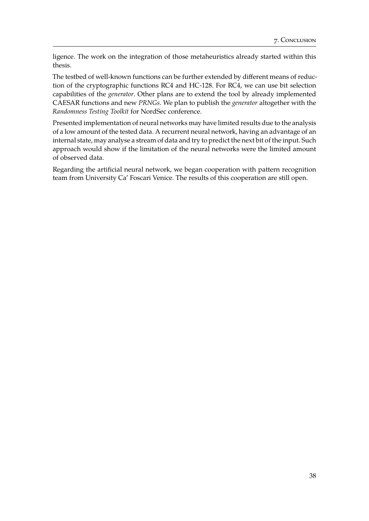ligence. The work on the integration of those metaheuristics already started within this thesis.

The testbed of well-known functions can be further extended by different means of reduction of the cryptographic functions RC4 and HC-128. For RC4, we can use bit selection capabilities of the *generator*. Other plans are to extend the tool by already implemented CAESAR functions and new *PRNGs*. We plan to publish the *generator* altogether with the *Randomness Testing Toolkit* for NordSec conference.

Presented implementation of neural networks may have limited results due to the analysis of a low amount of the tested data. A recurrent neural network, having an advantage of an internal state, may analyse a stream of data and try to predict the next bit of the input. Such approach would show if the limitation of the neural networks were the limited amount of observed data.

Regarding the artificial neural network, we began cooperation with pattern recognition team from University Ca' Foscari Venice. The results of this cooperation are still open.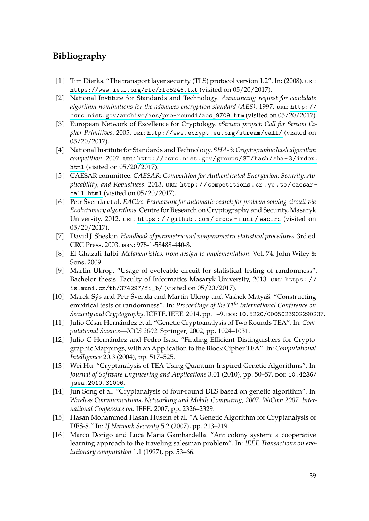# <span id="page-46-0"></span>**Bibliography**

- <span id="page-46-1"></span>[1] Tim Dierks. "The transport layer security (TLS) protocol version 1.2". In: (2008). URL: <https://www.ietf.org/rfc/rfc5246.txt> (visited on 05/20/2017).
- <span id="page-46-2"></span>[2] National Institute for Standards and Technology. *Announcing request for candidate algorithm nominations for the advances encryption standard (AES)*. 1997. URL: [http://](http://csrc.nist.gov/archive/aes/pre-round1/aes_9709.htm) [csrc.nist.gov/archive/aes/pre-round1/aes\\_9709.htm](http://csrc.nist.gov/archive/aes/pre-round1/aes_9709.htm) (visited on 05/20/2017).
- <span id="page-46-3"></span>[3] European Network of Excellence for Cryptology. *eStream project: Call for Stream Ci*pher Primitives. 2005. url: <http://www.ecrypt.eu.org/stream/call/> (visited on 05/20/2017).
- <span id="page-46-4"></span>[4] National Institute for Standards and Technology. *SHA-3: Cryptographic hash algorithm competition*. 2007. url: [http://csrc.nist.gov/groups/ST/hash/sha- 3/index.](http://csrc.nist.gov/groups/ST/hash/sha-3/index.html) [html](http://csrc.nist.gov/groups/ST/hash/sha-3/index.html) (visited on 05/20/2017).
- <span id="page-46-5"></span>[5] CAESAR committee. *CAESAR: Competition for Authenticated Encryption: Security, Ap*plicability, and Robustness. 2013. URL: http://competitions.cr.yp.to/caesar[call.html](http://competitions.cr.yp.to/caesar-call.html) (visited on 05/20/2017).
- <span id="page-46-6"></span>[6] Petr Švenda et al. *EACirc. Framework for automatic search for problem solving circuit via Evolutionary algorithms*. Centre for Research on Cryptography and Security, Masaryk University. 2012. URL: [https : / / github . com / crocs - muni / eacirc](https://github.com/crocs-muni/eacirc) (visited on 05/20/2017).
- <span id="page-46-7"></span>[7] David J. Sheskin. *Handbook of parametric and nonparametric statistical procedures*. 3rd ed. CRC Press, 2003. isbn: 978-1-58488-440-8.
- <span id="page-46-8"></span>[8] El-Ghazali Talbi. *Metaheuristics: from design to implementation*. Vol. 74. John Wiley & Sons, 2009.
- <span id="page-46-9"></span>[9] Martin Ukrop. "Usage of evolvable circuit for statistical testing of randomness". Bachelor thesis. Faculty of Informatics Masaryk University, 2013. url: https : // [is.muni.cz/th/374297/fi\\_b/](https://is.muni.cz/th/374297/fi_b/) (visited on 05/20/2017).
- <span id="page-46-10"></span>[10] Marek Sýs and Petr Švenda and Martin Ukrop and Vashek Matyáš. "Constructing empirical tests of randomness". In: *Proceedings of the 11th International Conference on Security and Cryptography*. ICETE. IEEE. 2014, pp. 1–9. doi: [10.5220/0005023902290237](http://dx.doi.org/10.5220/0005023902290237).
- <span id="page-46-11"></span>[11] Julio César Hernández et al. "Genetic Cryptoanalysis of Two Rounds TEA". In: *Computational Science—ICCS 2002*. Springer, 2002, pp. 1024–1031.
- <span id="page-46-14"></span>[12] Julio C Hernández and Pedro Isasi. "Finding Efficient Distinguishers for Cryptographic Mappings, with an Application to the Block Cipher TEA". In: *Computational Intelligence* 20.3 (2004), pp. 517–525.
- <span id="page-46-15"></span>[13] Wei Hu. "Cryptanalysis of TEA Using Quantum-Inspired Genetic Algorithms". In: Journal of Software Engineering and Applications 3.01 (2010), pp. 50–57. poi: [10.4236/](http://dx.doi.org/10.4236/jsea.2010.31006) [jsea.2010.31006](http://dx.doi.org/10.4236/jsea.2010.31006).
- <span id="page-46-16"></span>[14] Jun Song et al. "Cryptanalysis of four-round DES based on genetic algorithm". In: *Wireless Communications, Networking and Mobile Computing, 2007. WiCom 2007. International Conference on*. IEEE. 2007, pp. 2326–2329.
- <span id="page-46-12"></span>[15] Hasan Mohammed Hasan Husein et al. "A Genetic Algorithm for Cryptanalysis of DES-8." In: *IJ Network Security* 5.2 (2007), pp. 213–219.
- <span id="page-46-13"></span>[16] Marco Dorigo and Luca Maria Gambardella. "Ant colony system: a cooperative learning approach to the traveling salesman problem". In: *IEEE Transactions on evolutionary computation* 1.1 (1997), pp. 53–66.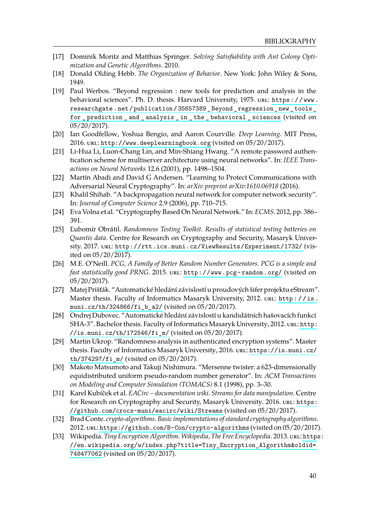- <span id="page-47-0"></span>[17] Dominik Moritz and Matthias Springer. *Solving Satisfiability with Ant Colony Optimization and Genetic Algorithms*. 2010.
- <span id="page-47-1"></span>[18] Donald Olding Hebb. *The Organization of Behavior*. New York: John Wiley & Sons, 1949.
- <span id="page-47-2"></span>[19] Paul Werbos. "Beyond regression : new tools for prediction and analysis in the behavioral sciences". Ph. D. thesis. Harvard University, 1975. url: [https : / / www .](https://www.researchgate.net/publication/35657389_Beyond_regression_new_tools_for_prediction_and_analysis_in_the_behavioral_sciences) [researchgate . net / publication / 35657389 \\_ Beyond \\_ regression \\_ new \\_ tools \\_](https://www.researchgate.net/publication/35657389_Beyond_regression_new_tools_for_prediction_and_analysis_in_the_behavioral_sciences) [for \\_ prediction \\_ and \\_ analysis \\_ in \\_ the \\_ behavioral \\_ sciences](https://www.researchgate.net/publication/35657389_Beyond_regression_new_tools_for_prediction_and_analysis_in_the_behavioral_sciences) (visited on 05/20/2017).
- <span id="page-47-3"></span>[20] Ian Goodfellow, Yoshua Bengio, and Aaron Courville. *Deep Learning*. MIT Press, 2016. url: <http://www.deeplearningbook.org> (visited on 05/20/2017).
- <span id="page-47-4"></span>[21] Li-Hua Li, Luon-Chang Lin, and Min-Shiang Hwang. "A remote password authentication scheme for multiserver architecture using neural networks". In: *IEEE Transactions on Neural Networks* 12.6 (2001), pp. 1498–1504.
- <span id="page-47-5"></span>[22] Martín Abadi and David G Andersen. "Learning to Protect Communications with Adversarial Neural Cryptography". In: *arXiv preprint arXiv:1610.06918* (2016).
- <span id="page-47-6"></span>[23] Khalil Shihab. "A backpropagation neural network for computer network security". In: *Journal of Computer Science* 2.9 (2006), pp. 710–715.
- <span id="page-47-7"></span>[24] Eva Volna et al. "Cryptography Based On Neural Network." In: *ECMS*. 2012, pp. 386– 391.
- <span id="page-47-8"></span>[25] Ľubomír Obrátil. *Randomness Testing Toolkit. Results of statistical testing batteries on Quantis data*. Centre for Research on Cryptography and Security, Masaryk University. 2017. URL: <http://rtt.ics.muni.cz/ViewResults/Experiment/1732/> (visited on 05/20/2017).
- <span id="page-47-9"></span>[26] M.E. O'Neill. *PCG, A Family of Better Random Number Generators. PCG is a simple and fast statistically good PRNG*. 2015. url: http://www.pcg-random.org/ (visited on 05/20/2017).
- <span id="page-47-10"></span>[27] Matej Prišťák. "Automatické hledání závislostí u proudových šifer projektu eStream". Master thesis. Faculty of Informatics Masaryk University, 2012. url: http://is. [muni.cz/th/324866/fi\\_b\\_a2/](http://is.muni.cz/th/324866/fi_b_a2/) (visited on 05/20/2017).
- [28] Ondrej Dubovec. "Automatické hledání závislostí u kandidátních hašovacích funkcí SHA-3". Bachelor thesis. Faculty of Informatics Masaryk University, 2012. url: [http:](http://is.muni.cz/th/172546/fi_m/) [//is.muni.cz/th/172546/fi\\_m/](http://is.muni.cz/th/172546/fi_m/) (visited on 05/20/2017).
- <span id="page-47-11"></span>[29] Martin Ukrop. "Randomness analysis in authenticated encryption systems". Master thesis. Faculty of Informatics Masaryk University, 2016. url: [https://is.muni.cz/](https://is.muni.cz/th/374297/fi_m/) [th/374297/fi\\_m/](https://is.muni.cz/th/374297/fi_m/) (visited on 05/20/2017).
- <span id="page-47-12"></span>[30] Makoto Matsumoto and Takuji Nishimura. "Mersenne twister: a 623-dimensionally equidistributed uniform pseudo-random number generator". In: *ACM Transactions on Modeling and Computer Simulation (TOMACS)* 8.1 (1998), pp. 3–30.
- <span id="page-47-13"></span>[31] Karel Kubíček et al. *EACirc – documentation wiki. Streams for data manipulation*. Centre for Research on Cryptography and Security, Masaryk University. 2016. url: [https:](https://github.com/crocs-muni/eacirc/wiki/Streams) [//github.com/crocs-muni/eacirc/wiki/Streams](https://github.com/crocs-muni/eacirc/wiki/Streams) (visited on 05/20/2017).
- <span id="page-47-14"></span>[32] Brad Conte. *crypto-algorithms. Basic implementations of standard cryptography algorithms*. 2012. url: <https://github.com/B-Con/crypto-algorithms> (visited on 05/20/2017).
- <span id="page-47-15"></span>[33] Wikipedia. *Tiny Encryption Algorithm. Wikipedia, The Free Encyclopedia*. 2013. url: [http](https://en.wikipedia.org/w/index.php?title=Tiny_Encryption_Algorithm&oldid=748477062)s: [//en.wikipedia.org/w/index.php?title=Tiny\\_Encryption\\_Algorithm&oldid=](https://en.wikipedia.org/w/index.php?title=Tiny_Encryption_Algorithm&oldid=748477062) [748477062](https://en.wikipedia.org/w/index.php?title=Tiny_Encryption_Algorithm&oldid=748477062) (visited on 05/20/2017).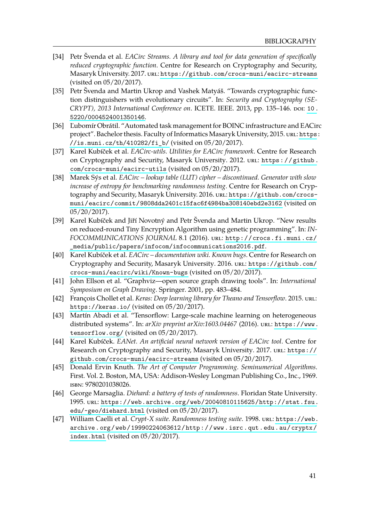- <span id="page-48-0"></span>[34] Petr Švenda et al. *EACirc Streams. A library and tool for data generation of specifically reduced cryptographic function*. Centre for Research on Cryptography and Security, Masaryk University. 2017. url: <https://github.com/crocs-muni/eacirc-streams> (visited on 05/20/2017).
- <span id="page-48-1"></span>[35] Petr Švenda and Martin Ukrop and Vashek Matyáš. "Towards cryptographic function distinguishers with evolutionary circuits". In: *Security and Cryptography (SE-CRYPT), 2013 International Conference on. ICETE. IEEE. 2013, pp. 135–146. poi: 10.* [5220/0004524001350146](http://dx.doi.org/10.5220/0004524001350146).
- <span id="page-48-2"></span>[36] Ľubomír Obrátil. "Automated task management for BOINC infrastructure and EACirc project". Bachelor thesis. Faculty of Informatics Masaryk University, 2015. url: [https](https://is.muni.cz/th/410282/fi_b/): [//is.muni.cz/th/410282/fi\\_b/](https://is.muni.cz/th/410282/fi_b/) (visited on 05/20/2017).
- <span id="page-48-3"></span>[37] Karel Kubíček et al. *EACirc-utils. Utilities for EACirc framework*. Centre for Research on Cryptography and Security, Masaryk University. 2012. url: https://github. [com/crocs-muni/eacirc-utils](https://github.com/crocs-muni/eacirc-utils) (visited on 05/20/2017).
- <span id="page-48-4"></span>[38] Marek Sýs et al. *EACirc – lookup table (LUT) cipher – discontinued. Generator with slow increase of entropy for benchmarking randomness testing*. Centre for Research on Cryptography and Security, Masaryk University. 2016. url: [https://github.com/crocs](https://github.com/crocs-muni/eacirc/commit/9808dda2401c15fac6f4984ba308140ebd2e3162)[muni/eacirc/commit/9808dda2401c15fac6f4984ba308140ebd2e3162](https://github.com/crocs-muni/eacirc/commit/9808dda2401c15fac6f4984ba308140ebd2e3162) (visited on 05/20/2017).
- <span id="page-48-5"></span>[39] Karel Kubíček and Jiří Novotný and Petr Švenda and Martin Ukrop. "New results on reduced-round Tiny Encryption Algorithm using genetic programming". In: *IN-FOCOMMUNICATIONS JOURNAL* 8.1 (2016). url: [http://crocs.fi.muni.cz/](http://crocs.fi.muni.cz/_media/public/papers/infocom/infocommunications2016.pdf) [\\_media/public/papers/infocom/infocommunications2016.pdf](http://crocs.fi.muni.cz/_media/public/papers/infocom/infocommunications2016.pdf).
- <span id="page-48-6"></span>[40] Karel Kubíček et al. *EACirc – documentation wiki. Known bugs*. Centre for Research on Cryptography and Security, Masaryk University. 2016. url: [https://github.com/](https://github.com/crocs-muni/eacirc/wiki/Known-bugs) [crocs-muni/eacirc/wiki/Known-bugs](https://github.com/crocs-muni/eacirc/wiki/Known-bugs) (visited on 05/20/2017).
- <span id="page-48-7"></span>[41] John Ellson et al. "Graphviz—open source graph drawing tools". In: *International Symposium on Graph Drawing*. Springer. 2001, pp. 483–484.
- <span id="page-48-8"></span>[42] François Chollet et al. *Keras: Deep learning library for Theano and Tensorflow*. 2015. URL: <https://keras.io/> (visited on 05/20/2017).
- <span id="page-48-9"></span>[43] Martín Abadi et al. "Tensorflow: Large-scale machine learning on heterogeneous distributed systems". In: *arXiv preprint arXiv:1603.04467* (2016). url: [https://www.](https://www.tensorflow.org/) [tensorflow.org/](https://www.tensorflow.org/) (visited on 05/20/2017).
- <span id="page-48-10"></span>[44] Karel Kubíček. *EANet. An artificial neural network version of EACirc tool*. Centre for Research on Cryptography and Security, Masaryk University. 2017. url: [https://](https://github.com/crocs-muni/eacirc-streams) [github.com/crocs-muni/eacirc-streams](https://github.com/crocs-muni/eacirc-streams) (visited on 05/20/2017).
- <span id="page-48-11"></span>[45] Donald Ervin Knuth. *The Art of Computer Programming. Seminumerical Algorithms*. First. Vol. 2. Boston, MA, USA: Addison-Wesley Longman Publishing Co., Inc., 1969. isbn: 9780201038026.
- <span id="page-48-12"></span>[46] George Marsaglia. *Diehard: a battery of tests of randomness*. Floridan State University. 1995. url: [https://web.archive.org/web/20040810115625/http://stat.fsu.](https://web.archive.org/web/20040810115625/http://stat.fsu.edu/~geo/diehard.html) [edu/~geo/diehard.html](https://web.archive.org/web/20040810115625/http://stat.fsu.edu/~geo/diehard.html) (visited on 05/20/2017).
- <span id="page-48-13"></span>[47] William Caelli et al. *Crypt-X suite. Randomness testing suite*. 1998. url.: [https://web.](https://web.archive.org/web/19990224063612/http://www.isrc.qut.edu.au/cryptx/index.html) [archive.org/web/19990224063612/http://www.isrc.qut.edu.au/cryptx/](https://web.archive.org/web/19990224063612/http://www.isrc.qut.edu.au/cryptx/index.html) [index.html](https://web.archive.org/web/19990224063612/http://www.isrc.qut.edu.au/cryptx/index.html) (visited on 05/20/2017).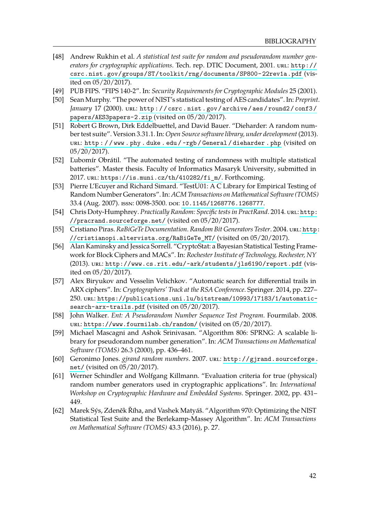- <span id="page-49-0"></span>[48] Andrew Rukhin et al. *A statistical test suite for random and pseudorandom number generators for cryptographic applications*. Tech. rep. DTIC Document, 2001. url: [http://](http://csrc.nist.gov/groups/ST/toolkit/rng/documents/SP800-22rev1a.pdf) [csrc.nist.gov/groups/ST/toolkit/rng/documents/SP800- 22rev1a.pdf](http://csrc.nist.gov/groups/ST/toolkit/rng/documents/SP800-22rev1a.pdf) (visited on 05/20/2017).
- <span id="page-49-1"></span>[49] PUB FIPS. "FIPS 140-2". In: *Security Requirements for Cryptographic Modules* 25 (2001).
- <span id="page-49-2"></span>[50] Sean Murphy. "The power of NIST's statistical testing of AES candidates". In: *Preprint. January* 17 (2000). URL: http://csrc.nist.gov/archive/aes/round2/conf3/ [papers/AES3papers-2.zip](http://csrc.nist.gov/archive/aes/round2/conf3/papers/AES3papers-2.zip) (visited on 05/20/2017).
- <span id="page-49-3"></span>[51] Robert G Brown, Dirk Eddelbuettel, and David Bauer. "Dieharder: A random number test suite". Version 3.31.1. In: *Open Source software library, under development* (2013). url: [http : / / www . phy . duke . edu / ~rgb / General / dieharder . php](http://www.phy.duke.edu/~rgb/General/dieharder.php) (visited on 05/20/2017).
- <span id="page-49-4"></span>[52] Ľubomír Obrátil. "The automated testing of randomness with multiple statistical batteries". Master thesis. Faculty of Informatics Masaryk University, submitted in 2017. url: [https://is.muni.cz/th/410282/fi\\_m/](https://is.muni.cz/th/410282/fi_m/). Forthcoming.
- <span id="page-49-5"></span>[53] Pierre L'Ecuyer and Richard Simard. "TestU01: A C Library for Empirical Testing of Random Number Generators". In: *ACM Transactions on Mathematical Software (TOMS)* 33.4 (Aug. 2007). issn: 0098-3500. doi: [10.1145/1268776.1268777](http://dx.doi.org/10.1145/1268776.1268777).
- <span id="page-49-6"></span>[54] Chris Doty-Humphrey. *Practically Random: Specific tests in PractRand*. 2014. url: [http:](http://pracrand.sourceforge.net/) [//pracrand.sourceforge.net/](http://pracrand.sourceforge.net/) (visited on 05/20/2017).
- <span id="page-49-7"></span>[55] Cristiano Piras. *RaBiGeTe Documentation. Random Bit Generators Tester*. 2004. url.: [http](http://cristianopi.altervista.org/RaBiGeTe_MT/): [//cristianopi.altervista.org/RaBiGeTe\\_MT/](http://cristianopi.altervista.org/RaBiGeTe_MT/) (visited on 05/20/2017).
- <span id="page-49-8"></span>[56] Alan Kaminsky and Jessica Sorrell. "CryptoStat: a Bayesian Statistical Testing Framework for Block Ciphers and MACs". In: *Rochester Institute of Technology, Rochester, NY* (2013). url: <http://www.cs.rit.edu/~ark/students/jls6190/report.pdf> (visited on 05/20/2017).
- <span id="page-49-9"></span>[57] Alex Biryukov and Vesselin Velichkov. "Automatic search for differential trails in ARX ciphers". In: *Cryptographers' Track at the RSA Conference*. Springer. 2014, pp. 227– 250. url: [https://publications.uni.lu/bitstream/10993/17183/1/automatic](https://publications.uni.lu/bitstream/10993/17183/1/automatic-search-arx-trails.pdf)[search-arx-trails.pdf](https://publications.uni.lu/bitstream/10993/17183/1/automatic-search-arx-trails.pdf) (visited on 05/20/2017).
- <span id="page-49-10"></span>[58] John Walker. *Ent: A Pseudorandom Number Sequence Test Program*. Fourmilab. 2008. url: <https://www.fourmilab.ch/random/> (visited on 05/20/2017).
- <span id="page-49-11"></span>[59] Michael Mascagni and Ashok Srinivasan. "Algorithm 806: SPRNG: A scalable library for pseudorandom number generation". In: *ACM Transactions on Mathematical Software (TOMS)* 26.3 (2000), pp. 436–461.
- <span id="page-49-12"></span>[60] Geronimo Jones. *gjrand random numbers*. 2007. url: [http://gjrand.sourceforge.](http://gjrand.sourceforge.net/) [net/](http://gjrand.sourceforge.net/) (visited on 05/20/2017).
- <span id="page-49-13"></span>[61] Werner Schindler and Wolfgang Killmann. "Evaluation criteria for true (physical) random number generators used in cryptographic applications". In: *International Workshop on Cryptographic Hardware and Embedded Systems*. Springer. 2002, pp. 431– 449.
- <span id="page-49-14"></span>[62] Marek Sýs, Zdeněk Říha, and Vashek Matyáš. "Algorithm 970: Optimizing the NIST Statistical Test Suite and the Berlekamp-Massey Algorithm". In: *ACM Transactions on Mathematical Software (TOMS)* 43.3 (2016), p. 27.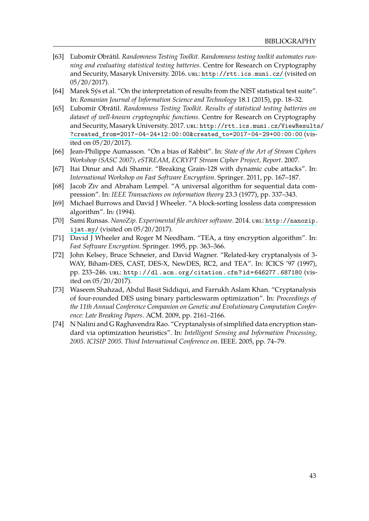- <span id="page-50-0"></span>[63] Ľubomír Obrátil. *Randomness Testing Toolkit. Randomness testing toolkit automates running and evaluating statistical testing batteries*. Centre for Research on Cryptography and Security, Masaryk University. 2016. url: <http://rtt.ics.muni.cz/> (visited on 05/20/2017).
- <span id="page-50-1"></span>[64] Marek Sýs et al. "On the interpretation of results from the NIST statistical test suite". In: *Romanian Journal of Information Science and Technology* 18.1 (2015), pp. 18–32.
- <span id="page-50-2"></span>[65] Ľubomír Obrátil. *Randomness Testing Toolkit. Results of statistical testing batteries on dataset of well-known cryptographic functions*. Centre for Research on Cryptography and Security, Masaryk University. 2017. url: [http://rtt.ics.muni.cz/ViewResult](http://rtt.ics.muni.cz/ViewResults/?created_from=2017-04-24+12:00:00&created_to=2017-04-29+00:00:00)s/ [?created\\_from=2017-04-24+12:00:00&created\\_to=2017-04-29+00:00:00](http://rtt.ics.muni.cz/ViewResults/?created_from=2017-04-24+12:00:00&created_to=2017-04-29+00:00:00) (visited on 05/20/2017).
- <span id="page-50-3"></span>[66] Jean-Philippe Aumasson. "On a bias of Rabbit". In: *State of the Art of Stream Ciphers Workshop (SASC 2007), eSTREAM, ECRYPT Stream Cipher Project, Report*. 2007.
- <span id="page-50-4"></span>[67] Itai Dinur and Adi Shamir. "Breaking Grain-128 with dynamic cube attacks". In: *International Workshop on Fast Software Encryption*. Springer. 2011, pp. 167–187.
- <span id="page-50-5"></span>[68] Jacob Ziv and Abraham Lempel. "A universal algorithm for sequential data compression". In: *IEEE Transactions on information theory* 23.3 (1977), pp. 337–343.
- <span id="page-50-6"></span>[69] Michael Burrows and David J Wheeler. "A block-sorting lossless data compression algorithm". In: (1994).
- <span id="page-50-7"></span>[70] Sami Runsas. *NanoZip. Experimental file archiver software*. 2014. url: [http://nanozip.](http://nanozip.ijat.my/) [ijat.my/](http://nanozip.ijat.my/) (visited on  $05/20/2017$ ).
- <span id="page-50-8"></span>[71] David J Wheeler and Roger M Needham. "TEA, a tiny encryption algorithm". In: *Fast Software Encryption*. Springer. 1995, pp. 363–366.
- <span id="page-50-9"></span>[72] John Kelsey, Bruce Schneier, and David Wagner. "Related-key cryptanalysis of 3-WAY, Biham-DES, CAST, DES-X, NewDES, RC2, and TEA". In: ICICS '97 (1997), pp. 233–246. url: <http://dl.acm.org/citation.cfm?id=646277.687180> (visited on 05/20/2017).
- <span id="page-50-10"></span>[73] Waseem Shahzad, Abdul Basit Siddiqui, and Farrukh Aslam Khan. "Cryptanalysis of four-rounded DES using binary particleswarm optimization". In: *Proceedings of the 11th Annual Conference Companion on Genetic and Evolutionary Computation Conference: Late Breaking Papers*. ACM. 2009, pp. 2161–2166.
- <span id="page-50-11"></span>[74] N Nalini and G Raghavendra Rao. "Cryptanalysis of simplified data encryption standard via optimization heuristics". In: *Intelligent Sensing and Information Processing, 2005. ICISIP 2005. Third International Conference on*. IEEE. 2005, pp. 74–79.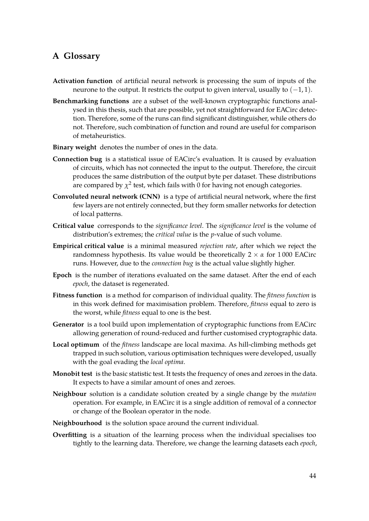# <span id="page-51-0"></span>**A Glossary**

- **Activation function** of artificial neural network is processing the sum of inputs of the neurone to the output. It restricts the output to given interval, usually to  $(-1, 1)$ .
- **Benchmarking functions** are a subset of the well-known cryptographic functions analysed in this thesis, such that are possible, yet not straightforward for EACirc detection. Therefore, some of the runs can find significant distinguisher, while others do not. Therefore, such combination of function and round are useful for comparison of metaheuristics.
- **Binary weight** denotes the number of ones in the data.
- **Connection bug** is a statistical issue of EACirc's evaluation. It is caused by evaluation of circuits, which has not connected the input to the output. Therefore, the circuit produces the same distribution of the output byte per dataset. These distributions are compared by  $\chi^2$  test, which fails with 0 for having not enough categories.
- **Convoluted neural network (CNN)** is a type of artificial neural network, where the first few layers are not entirely connected, but they form smaller networks for detection of local patterns.
- **Critical value** corresponds to the *significance level*. The *significance level* is the volume of distribution's extremes; the *critical value* is the *p*-value of such volume.
- **Empirical critical value** is a minimal measured *rejection rate*, after which we reject the randomness hypothesis. Its value would be theoretically  $2 \times \alpha$  for 1000 EACirc runs. However, due to the *connection bug* is the actual value slightly higher.
- **Epoch** is the number of iterations evaluated on the same dataset. After the end of each *epoch*, the dataset is regenerated.
- **Fitness function** is a method for comparison of individual quality. The *fitness function* is in this work defined for maximisation problem. Therefore, *fitness* equal to zero is the worst, while *fitness* equal to one is the best.
- **Generator** is a tool build upon implementation of cryptographic functions from EACirc allowing generation of round-reduced and further customised cryptographic data.
- **Local optimum** of the *fitness* landscape are local maxima. As hill-climbing methods get trapped in such solution, various optimisation techniques were developed, usually with the goal evading the *local optima*.
- **Monobit test** is the basic statistic test. It tests the frequency of ones and zeroes in the data. It expects to have a similar amount of ones and zeroes.
- **Neighbour** solution is a candidate solution created by a single change by the *mutation* operation. For example, in EACirc it is a single addition of removal of a connector or change of the Boolean operator in the node.
- **Neighbourhood** is the solution space around the current individual.
- **Overfitting** is a situation of the learning process when the individual specialises too tightly to the learning data. Therefore, we change the learning datasets each *epoch*,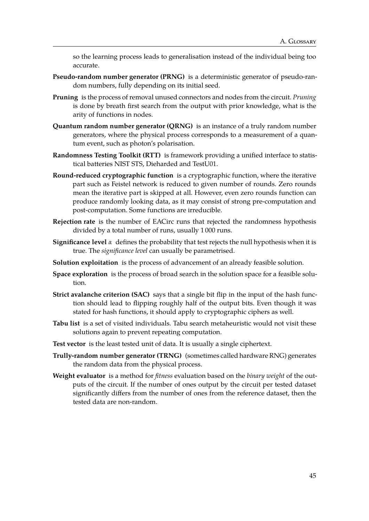so the learning process leads to generalisation instead of the individual being too accurate.

- **Pseudo-random number generator (PRNG)** is a deterministic generator of pseudo-random numbers, fully depending on its initial seed.
- **Pruning** is the process of removal unused connectors and nodes from the circuit. *Pruning* is done by breath first search from the output with prior knowledge, what is the arity of functions in nodes.
- **Quantum random number generator (QRNG)** is an instance of a truly random number generators, where the physical process corresponds to a measurement of a quantum event, such as photon's polarisation.
- **Randomness Testing Toolkit (RTT)** is framework providing a unified interface to statistical batteries NIST STS, Dieharded and TestU01.
- **Round-reduced cryptographic function** is a cryptographic function, where the iterative part such as Feistel network is reduced to given number of rounds. Zero rounds mean the iterative part is skipped at all. However, even zero rounds function can produce randomly looking data, as it may consist of strong pre-computation and post-computation. Some functions are irreducible.
- **Rejection rate** is the number of EACirc runs that rejected the randomness hypothesis divided by a total number of runs, usually 1 000 runs.
- **Significance level**  $\alpha$  defines the probability that test rejects the null hypothesis when it is true. The *significance level* can usually be parametrised.
- **Solution exploitation** is the process of advancement of an already feasible solution.
- **Space exploration** is the process of broad search in the solution space for a feasible solution.
- **Strict avalanche criterion (SAC)** says that a single bit flip in the input of the hash function should lead to flipping roughly half of the output bits. Even though it was stated for hash functions, it should apply to cryptographic ciphers as well.
- **Tabu list** is a set of visited individuals. Tabu search metaheuristic would not visit these solutions again to prevent repeating computation.
- **Test vector** is the least tested unit of data. It is usually a single ciphertext.
- **Trully-random number generator (TRNG)** (sometimes called hardware RNG) generates the random data from the physical process.
- **Weight evaluator** is a method for *fitness* evaluation based on the *binary weight* of the outputs of the circuit. If the number of ones output by the circuit per tested dataset significantly differs from the number of ones from the reference dataset, then the tested data are non-random.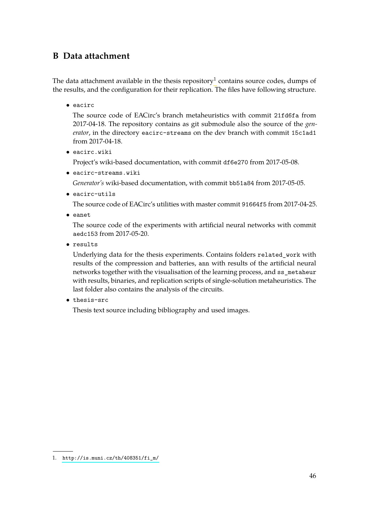# <span id="page-53-0"></span>**B Data attachment**

The data attachment available in the thesis repository<sup>[1](#page-53-1)</sup> contains source codes, dumps of the results, and the configuration for their replication. The files have following structure.

∙ eacirc

The source code of EACirc's branch metaheuristics with commit 21fd6fa from 2017-04-18. The repository contains as git submodule also the source of the *generator*, in the directory eacirc-streams on the dev branch with commit 15c1ad1 from 2017-04-18.

∙ eacirc.wiki

Project's wiki-based documentation, with commit df6e270 from 2017-05-08.

∙ eacirc-streams.wiki

*Generator's* wiki-based documentation, with commit bb51a84 from 2017-05-05.

∙ eacirc-utils

The source code of EACirc's utilities with master commit 91664f5 from 2017-04-25.

∙ eanet

The source code of the experiments with artificial neural networks with commit aedc153 from 2017-05-20.

∙ results

Underlying data for the thesis experiments. Contains folders related\_work with results of the compression and batteries, ann with results of the artificial neural networks together with the visualisation of the learning process, and ss\_metaheur with results, binaries, and replication scripts of single-solution metaheuristics. The last folder also contains the analysis of the circuits.

∙ thesis-src

Thesis text source including bibliography and used images.

<span id="page-53-1"></span><sup>1.</sup> [http://is.muni.cz/th/408351/fi\\_m/](http://is.muni.cz/th/408351/fi_m/)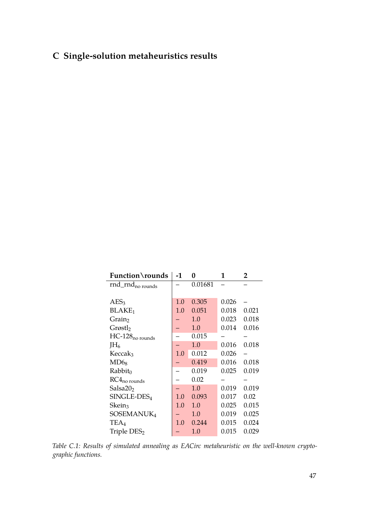# <span id="page-54-0"></span>**C Single-solution metaheuristics results**

<span id="page-54-1"></span>

| Function\rounds              | -1  | 0       | 1     | 2     |
|------------------------------|-----|---------|-------|-------|
| rnd_rnd <sub>no rounds</sub> |     | 0.01681 |       |       |
|                              |     |         |       |       |
| $\text{AES}_3$               | 1.0 | 0.305   | 0.026 |       |
| BLAKE <sub>1</sub>           | 1.0 | 0.051   | 0.018 | 0.021 |
| Grain <sub>2</sub>           |     | 1.0     | 0.023 | 0.018 |
| Grøstl <sub>2</sub>          |     | 1.0     | 0.014 | 0.016 |
| $HC-128_{no \text{ rounds}}$ |     | 0.015   |       |       |
| $JH_6$                       |     | 1.0     | 0.016 | 0.018 |
| Keccak <sub>3</sub>          | 1.0 | 0.012   | 0.026 |       |
| $MD6_8$                      |     | 0.419   | 0.016 | 0.018 |
| Rabbit <sub>0</sub>          |     | 0.019   | 0.025 | 0.019 |
| RC4 <sub>no</sub> rounds     |     | 0.02    |       |       |
| Salsa $202$                  |     | 1.0     | 0.019 | 0.019 |
| SINGLE-DES <sub>4</sub>      | 1.0 | 0.093   | 0.017 | 0.02  |
| Skein <sub>3</sub>           | 1.0 | 1.0     | 0.025 | 0.015 |
| SOSEMANUK <sub>4</sub>       |     | 1.0     | 0.019 | 0.025 |
| TEA <sub>4</sub>             | 1.0 | 0.244   | 0.015 | 0.024 |
| Triple DES <sub>2</sub>      |     | 1.0     | 0.015 | 0.029 |

*Table C.1: Results of simulated annealing as EACirc metaheuristic on the well-known cryptographic functions.*